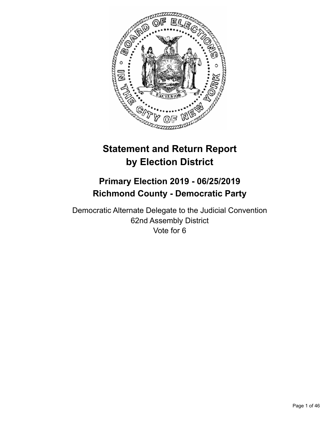

# **Statement and Return Report by Election District**

# **Primary Election 2019 - 06/25/2019 Richmond County - Democratic Party**

Democratic Alternate Delegate to the Judicial Convention 62nd Assembly District Vote for 6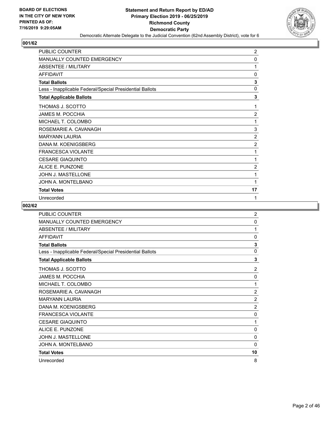

| <b>PUBLIC COUNTER</b>                                    | 2              |
|----------------------------------------------------------|----------------|
| <b>MANUALLY COUNTED EMERGENCY</b>                        | 0              |
| <b>ABSENTEE / MILITARY</b>                               | 1              |
| <b>AFFIDAVIT</b>                                         | 0              |
| <b>Total Ballots</b>                                     | 3              |
| Less - Inapplicable Federal/Special Presidential Ballots | $\mathbf{0}$   |
| <b>Total Applicable Ballots</b>                          | 3              |
| THOMAS J. SCOTTO                                         | 1              |
| JAMES M. POCCHIA                                         | $\overline{2}$ |
| MICHAEL T. COLOMBO                                       | 1              |
| ROSEMARIE A. CAVANAGH                                    | 3              |
| <b>MARYANN LAURIA</b>                                    | $\overline{2}$ |
| DANA M. KOENIGSBERG                                      | $\overline{2}$ |
| <b>FRANCESCA VIOLANTE</b>                                | 1              |
| <b>CESARE GIAQUINTO</b>                                  | 1              |
| <b>ALICE E. PUNZONE</b>                                  | 2              |
| JOHN J. MASTELLONE                                       | 1              |
| JOHN A. MONTELBANO                                       | 1              |
| <b>Total Votes</b>                                       | 17             |
| Unrecorded                                               | 1              |

| PUBLIC COUNTER                                           | $\overline{c}$ |
|----------------------------------------------------------|----------------|
| <b>MANUALLY COUNTED EMERGENCY</b>                        | 0              |
| <b>ABSENTEE / MILITARY</b>                               | 1              |
| <b>AFFIDAVIT</b>                                         | $\mathbf{0}$   |
| <b>Total Ballots</b>                                     | 3              |
| Less - Inapplicable Federal/Special Presidential Ballots | $\mathbf{0}$   |
| <b>Total Applicable Ballots</b>                          | 3              |
| THOMAS J. SCOTTO                                         | $\overline{2}$ |
| <b>JAMES M. POCCHIA</b>                                  | 0              |
| MICHAEL T. COLOMBO                                       | 1              |
| ROSEMARIE A. CAVANAGH                                    | $\overline{2}$ |
| <b>MARYANN LAURIA</b>                                    | 2              |
| DANA M. KOENIGSBERG                                      | $\overline{2}$ |
| <b>FRANCESCA VIOLANTE</b>                                | 0              |
| <b>CESARE GIAQUINTO</b>                                  | 1              |
| ALICE E. PUNZONE                                         | $\mathbf{0}$   |
| <b>JOHN J. MASTELLONE</b>                                | 0              |
| JOHN A. MONTELBANO                                       | $\mathbf{0}$   |
| <b>Total Votes</b>                                       | 10             |
| Unrecorded                                               | 8              |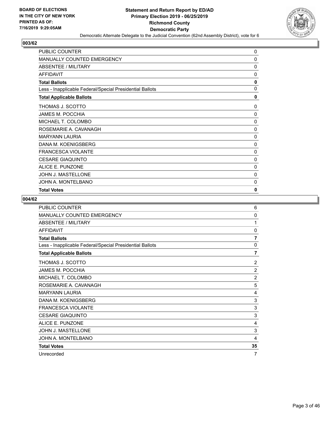

| PUBLIC COUNTER                                           | 0            |
|----------------------------------------------------------|--------------|
| <b>MANUALLY COUNTED EMERGENCY</b>                        | 0            |
| <b>ABSENTEE / MILITARY</b>                               | 0            |
| <b>AFFIDAVIT</b>                                         | 0            |
| <b>Total Ballots</b>                                     | 0            |
| Less - Inapplicable Federal/Special Presidential Ballots | $\mathbf{0}$ |
| <b>Total Applicable Ballots</b>                          | 0            |
| THOMAS J. SCOTTO                                         | 0            |
| JAMES M. POCCHIA                                         | $\Omega$     |
| MICHAEL T. COLOMBO                                       | 0            |
| ROSEMARIE A. CAVANAGH                                    | $\mathbf 0$  |
| <b>MARYANN LAURIA</b>                                    | 0            |
| DANA M. KOENIGSBERG                                      | 0            |
| <b>FRANCESCA VIOLANTE</b>                                | 0            |
| <b>CESARE GIAQUINTO</b>                                  | 0            |
| ALICE E. PUNZONE                                         | 0            |
| <b>JOHN J. MASTELLONE</b>                                | 0            |
| JOHN A. MONTELBANO                                       | 0            |
| <b>Total Votes</b>                                       | 0            |

| PUBLIC COUNTER                                           | 6              |
|----------------------------------------------------------|----------------|
| MANUALLY COUNTED EMERGENCY                               | 0              |
| ABSENTEE / MILITARY                                      | 1              |
| <b>AFFIDAVIT</b>                                         | $\Omega$       |
| <b>Total Ballots</b>                                     | 7              |
| Less - Inapplicable Federal/Special Presidential Ballots | 0              |
| <b>Total Applicable Ballots</b>                          | $\overline{7}$ |
| THOMAS J. SCOTTO                                         | $\overline{2}$ |
| JAMES M. POCCHIA                                         | $\overline{2}$ |
| MICHAEL T. COLOMBO                                       | $\overline{2}$ |
| ROSEMARIE A. CAVANAGH                                    | 5              |
| <b>MARYANN LAURIA</b>                                    | 4              |
| DANA M. KOENIGSBERG                                      | 3              |
| <b>FRANCESCA VIOLANTE</b>                                | 3              |
| <b>CESARE GIAQUINTO</b>                                  | 3              |
| ALICE E. PUNZONE                                         | 4              |
| JOHN J. MASTELLONE                                       | 3              |
| JOHN A. MONTELBANO                                       | 4              |
| <b>Total Votes</b>                                       | 35             |
| Unrecorded                                               | 7              |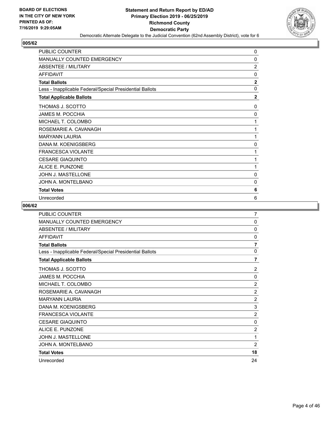

| <b>PUBLIC COUNTER</b>                                    | 0              |
|----------------------------------------------------------|----------------|
| <b>MANUALLY COUNTED EMERGENCY</b>                        | 0              |
| <b>ABSENTEE / MILITARY</b>                               | $\overline{2}$ |
| <b>AFFIDAVIT</b>                                         | $\mathbf{0}$   |
| <b>Total Ballots</b>                                     | $\overline{2}$ |
| Less - Inapplicable Federal/Special Presidential Ballots | $\mathbf{0}$   |
| <b>Total Applicable Ballots</b>                          | $\mathbf{2}$   |
| THOMAS J. SCOTTO                                         | $\Omega$       |
| <b>JAMES M. POCCHIA</b>                                  | 0              |
| MICHAEL T. COLOMBO                                       | 1              |
| ROSEMARIE A. CAVANAGH                                    | 1              |
| <b>MARYANN LAURIA</b>                                    | 1              |
| DANA M. KOENIGSBERG                                      | $\mathbf{0}$   |
| <b>FRANCESCA VIOLANTE</b>                                | 1              |
| <b>CESARE GIAQUINTO</b>                                  | 1              |
| <b>ALICE E. PUNZONE</b>                                  | 1              |
| JOHN J. MASTELLONE                                       | $\mathbf{0}$   |
| JOHN A. MONTELBANO                                       | 0              |
| <b>Total Votes</b>                                       | 6              |
| Unrecorded                                               | 6              |

| PUBLIC COUNTER                                           | 7              |
|----------------------------------------------------------|----------------|
| <b>MANUALLY COUNTED EMERGENCY</b>                        | 0              |
| ABSENTEE / MILITARY                                      | $\Omega$       |
| <b>AFFIDAVIT</b>                                         | $\mathbf{0}$   |
| <b>Total Ballots</b>                                     | $\overline{7}$ |
| Less - Inapplicable Federal/Special Presidential Ballots | 0              |
| <b>Total Applicable Ballots</b>                          | $\overline{7}$ |
| THOMAS J. SCOTTO                                         | 2              |
| JAMES M. POCCHIA                                         | $\Omega$       |
| MICHAEL T. COLOMBO                                       | $\overline{2}$ |
| ROSEMARIE A. CAVANAGH                                    | $\overline{2}$ |
| <b>MARYANN LAURIA</b>                                    | $\overline{2}$ |
| DANA M. KOENIGSBERG                                      | 3              |
| <b>FRANCESCA VIOLANTE</b>                                | 2              |
| <b>CESARE GIAQUINTO</b>                                  | 0              |
| ALICE E. PUNZONE                                         | $\overline{2}$ |
| <b>JOHN J. MASTELLONE</b>                                | 1              |
| JOHN A. MONTELBANO                                       | $\overline{2}$ |
| <b>Total Votes</b>                                       | 18             |
| Unrecorded                                               | 24             |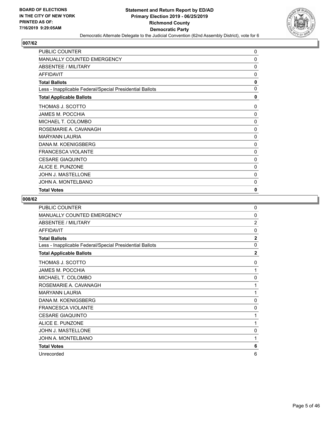

| <b>PUBLIC COUNTER</b>                                    | $\Omega$ |
|----------------------------------------------------------|----------|
| <b>MANUALLY COUNTED EMERGENCY</b>                        | 0        |
| <b>ABSENTEE / MILITARY</b>                               | 0        |
| <b>AFFIDAVIT</b>                                         | 0        |
| <b>Total Ballots</b>                                     | 0        |
| Less - Inapplicable Federal/Special Presidential Ballots | 0        |
| <b>Total Applicable Ballots</b>                          | 0        |
| THOMAS J. SCOTTO                                         | 0        |
| <b>JAMES M. POCCHIA</b>                                  | 0        |
| MICHAEL T. COLOMBO                                       | $\Omega$ |
| ROSEMARIE A. CAVANAGH                                    | 0        |
| <b>MARYANN LAURIA</b>                                    | 0        |
| DANA M. KOENIGSBERG                                      | 0        |
| <b>FRANCESCA VIOLANTE</b>                                | 0        |
| <b>CESARE GIAQUINTO</b>                                  | 0        |
| ALICE E. PUNZONE                                         | 0        |
| <b>JOHN J. MASTELLONE</b>                                | 0        |
| JOHN A. MONTELBANO                                       | 0        |
| <b>Total Votes</b>                                       | 0        |

| <b>PUBLIC COUNTER</b>                                    | $\Omega$       |
|----------------------------------------------------------|----------------|
| MANUALLY COUNTED EMERGENCY                               | 0              |
| ABSENTEE / MILITARY                                      | $\overline{2}$ |
| <b>AFFIDAVIT</b>                                         | $\mathbf{0}$   |
| <b>Total Ballots</b>                                     | $\overline{2}$ |
| Less - Inapplicable Federal/Special Presidential Ballots | $\mathbf{0}$   |
| <b>Total Applicable Ballots</b>                          | $\overline{2}$ |
| THOMAS J. SCOTTO                                         | 0              |
| <b>JAMES M. POCCHIA</b>                                  | 1              |
| MICHAEL T. COLOMBO                                       | 0              |
| ROSEMARIE A. CAVANAGH                                    | 1              |
| <b>MARYANN LAURIA</b>                                    | 1              |
| DANA M. KOENIGSBERG                                      | 0              |
| FRANCESCA VIOLANTE                                       | $\Omega$       |
| <b>CESARE GIAQUINTO</b>                                  | 1              |
| ALICE E. PUNZONE                                         | 1              |
| <b>JOHN J. MASTELLONE</b>                                | 0              |
| JOHN A. MONTELBANO                                       | 1              |
| <b>Total Votes</b>                                       | 6              |
| Unrecorded                                               | 6              |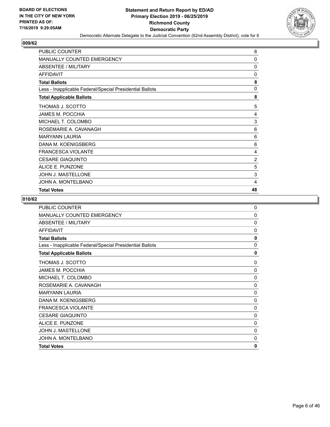

| <b>PUBLIC COUNTER</b>                                    | 8              |
|----------------------------------------------------------|----------------|
| MANUALLY COUNTED EMERGENCY                               | 0              |
| ABSENTEE / MILITARY                                      | 0              |
| <b>AFFIDAVIT</b>                                         | 0              |
| <b>Total Ballots</b>                                     | 8              |
| Less - Inapplicable Federal/Special Presidential Ballots | $\mathbf{0}$   |
| <b>Total Applicable Ballots</b>                          | 8              |
| THOMAS J. SCOTTO                                         | 5              |
| JAMES M. POCCHIA                                         | 4              |
| MICHAEL T. COLOMBO                                       | 3              |
| ROSEMARIE A. CAVANAGH                                    | 6              |
| <b>MARYANN LAURIA</b>                                    | 6              |
| DANA M. KOENIGSBERG                                      | 6              |
| <b>FRANCESCA VIOLANTE</b>                                | 4              |
| <b>CESARE GIAQUINTO</b>                                  | $\overline{c}$ |
| ALICE E. PUNZONE                                         | 5              |
| <b>JOHN J. MASTELLONE</b>                                | 3              |
| JOHN A. MONTELBANO                                       | 4              |
| <b>Total Votes</b>                                       | 48             |

| <b>PUBLIC COUNTER</b><br>MANUALLY COUNTED EMERGENCY      | 0<br>$\Omega$ |
|----------------------------------------------------------|---------------|
| ABSENTEE / MILITARY                                      | 0             |
|                                                          |               |
| <b>AFFIDAVIT</b>                                         | 0             |
| <b>Total Ballots</b>                                     | $\mathbf{0}$  |
| Less - Inapplicable Federal/Special Presidential Ballots | 0             |
| <b>Total Applicable Ballots</b>                          | 0             |
| THOMAS J. SCOTTO                                         | 0             |
| <b>JAMES M. POCCHIA</b>                                  | 0             |
| MICHAEL T. COLOMBO                                       | $\Omega$      |
| ROSEMARIE A. CAVANAGH                                    | $\mathbf{0}$  |
| <b>MARYANN LAURIA</b>                                    | $\Omega$      |
| DANA M. KOENIGSBERG                                      | $\Omega$      |
| <b>FRANCESCA VIOLANTE</b>                                | 0             |
| <b>CESARE GIAQUINTO</b>                                  | 0             |
| ALICE E. PUNZONE                                         | $\mathbf{0}$  |
| <b>JOHN J. MASTELLONE</b>                                | 0             |
| JOHN A. MONTELBANO                                       | 0             |
| <b>Total Votes</b>                                       | 0             |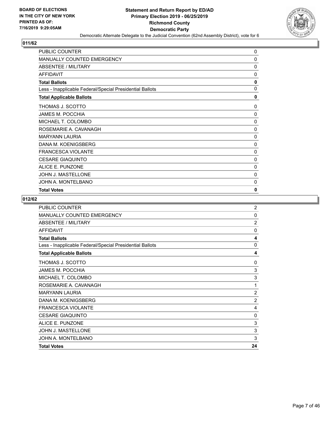

| PUBLIC COUNTER                                           | 0            |
|----------------------------------------------------------|--------------|
| <b>MANUALLY COUNTED EMERGENCY</b>                        | 0            |
| <b>ABSENTEE / MILITARY</b>                               | 0            |
| <b>AFFIDAVIT</b>                                         | 0            |
| <b>Total Ballots</b>                                     | 0            |
| Less - Inapplicable Federal/Special Presidential Ballots | $\mathbf{0}$ |
| <b>Total Applicable Ballots</b>                          | 0            |
| THOMAS J. SCOTTO                                         | 0            |
| <b>JAMES M. POCCHIA</b>                                  | $\Omega$     |
| MICHAEL T. COLOMBO                                       | 0            |
| ROSEMARIE A. CAVANAGH                                    | $\mathbf 0$  |
| <b>MARYANN LAURIA</b>                                    | 0            |
| DANA M. KOENIGSBERG                                      | 0            |
| <b>FRANCESCA VIOLANTE</b>                                | 0            |
| <b>CESARE GIAQUINTO</b>                                  | 0            |
| ALICE E. PUNZONE                                         | 0            |
| <b>JOHN J. MASTELLONE</b>                                | 0            |
| JOHN A. MONTELBANO                                       | 0            |
| <b>Total Votes</b>                                       | 0            |

| <b>Total Votes</b>                                       | 24                      |
|----------------------------------------------------------|-------------------------|
| JOHN A. MONTELBANO                                       | 3                       |
| <b>JOHN J. MASTELLONE</b>                                | 3                       |
| ALICE E. PUNZONE                                         | 3                       |
| <b>CESARE GIAQUINTO</b>                                  | 0                       |
| <b>FRANCESCA VIOLANTE</b>                                | 4                       |
| DANA M. KOENIGSBERG                                      | $\overline{2}$          |
| <b>MARYANN LAURIA</b>                                    | $\overline{2}$          |
| ROSEMARIE A. CAVANAGH                                    | 1                       |
| MICHAEL T. COLOMBO                                       | 3                       |
| <b>JAMES M. POCCHIA</b>                                  | 3                       |
| THOMAS J. SCOTTO                                         | $\Omega$                |
| <b>Total Applicable Ballots</b>                          | 4                       |
| Less - Inapplicable Federal/Special Presidential Ballots | $\mathbf{0}$            |
| <b>Total Ballots</b>                                     | $\overline{\mathbf{4}}$ |
| AFFIDAVIT                                                | 0                       |
| ABSENTEE / MILITARY                                      | $\overline{2}$          |
| <b>MANUALLY COUNTED EMERGENCY</b>                        | $\mathbf{0}$            |
| <b>PUBLIC COUNTER</b>                                    | $\overline{2}$          |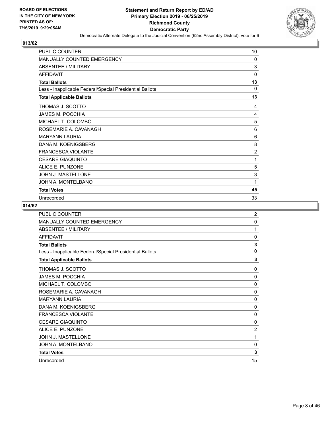

| PUBLIC COUNTER                                           | 10             |
|----------------------------------------------------------|----------------|
| <b>MANUALLY COUNTED EMERGENCY</b>                        | 0              |
| <b>ABSENTEE / MILITARY</b>                               | 3              |
| <b>AFFIDAVIT</b>                                         | 0              |
| <b>Total Ballots</b>                                     | 13             |
| Less - Inapplicable Federal/Special Presidential Ballots | 0              |
| <b>Total Applicable Ballots</b>                          | 13             |
| THOMAS J. SCOTTO                                         | 4              |
| <b>JAMES M. POCCHIA</b>                                  | 4              |
| MICHAEL T. COLOMBO                                       | 5              |
| ROSEMARIE A. CAVANAGH                                    | 6              |
| <b>MARYANN LAURIA</b>                                    | 6              |
| DANA M. KOENIGSBERG                                      | 8              |
| <b>FRANCESCA VIOLANTE</b>                                | $\overline{2}$ |
| <b>CESARE GIAQUINTO</b>                                  | 1              |
| ALICE E. PUNZONE                                         | 5              |
| JOHN J. MASTELLONE                                       | 3              |
| JOHN A. MONTELBANO                                       | 1              |
| <b>Total Votes</b>                                       | 45             |
| Unrecorded                                               | 33             |

| PUBLIC COUNTER                                           | $\overline{2}$ |
|----------------------------------------------------------|----------------|
| <b>MANUALLY COUNTED EMERGENCY</b>                        | 0              |
| <b>ABSENTEE / MILITARY</b>                               | 1              |
| <b>AFFIDAVIT</b>                                         | $\mathbf{0}$   |
| <b>Total Ballots</b>                                     | 3              |
| Less - Inapplicable Federal/Special Presidential Ballots | $\mathbf 0$    |
| <b>Total Applicable Ballots</b>                          | 3              |
| THOMAS J. SCOTTO                                         | 0              |
| <b>JAMES M. POCCHIA</b>                                  | $\mathbf{0}$   |
| MICHAEL T. COLOMBO                                       | $\mathbf{0}$   |
| ROSEMARIE A. CAVANAGH                                    | 0              |
| <b>MARYANN LAURIA</b>                                    | $\mathbf{0}$   |
| DANA M. KOENIGSBERG                                      | $\mathbf{0}$   |
| <b>FRANCESCA VIOLANTE</b>                                | 0              |
| <b>CESARE GIAQUINTO</b>                                  | $\mathbf{0}$   |
| ALICE E. PUNZONE                                         | $\overline{2}$ |
| <b>JOHN J. MASTELLONE</b>                                | 1              |
| JOHN A. MONTELBANO                                       | 0              |
| <b>Total Votes</b>                                       | 3              |
| Unrecorded                                               | 15             |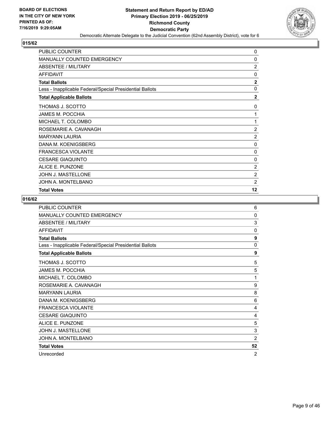

| PUBLIC COUNTER                                           | 0              |
|----------------------------------------------------------|----------------|
| <b>MANUALLY COUNTED EMERGENCY</b>                        | 0              |
| <b>ABSENTEE / MILITARY</b>                               | $\overline{2}$ |
| <b>AFFIDAVIT</b>                                         | 0              |
| <b>Total Ballots</b>                                     | $\mathbf{2}$   |
| Less - Inapplicable Federal/Special Presidential Ballots | $\mathbf{0}$   |
| <b>Total Applicable Ballots</b>                          | $\overline{2}$ |
| THOMAS J. SCOTTO                                         | 0              |
| JAMES M. POCCHIA                                         | 1              |
| MICHAEL T. COLOMBO                                       | 1              |
| ROSEMARIE A. CAVANAGH                                    | $\overline{2}$ |
| <b>MARYANN LAURIA</b>                                    | $\overline{2}$ |
| DANA M. KOENIGSBERG                                      | 0              |
| <b>FRANCESCA VIOLANTE</b>                                | 0              |
| <b>CESARE GIAQUINTO</b>                                  | 0              |
| ALICE E. PUNZONE                                         | $\overline{2}$ |
| <b>JOHN J. MASTELLONE</b>                                | $\overline{2}$ |
| JOHN A. MONTELBANO                                       | $\overline{2}$ |
| <b>Total Votes</b>                                       | $12 \,$        |

| <b>PUBLIC COUNTER</b>                                    | 6              |
|----------------------------------------------------------|----------------|
| MANUALLY COUNTED EMERGENCY                               | 0              |
| ABSENTEE / MILITARY                                      | 3              |
| <b>AFFIDAVIT</b>                                         | $\mathbf{0}$   |
| <b>Total Ballots</b>                                     | 9              |
| Less - Inapplicable Federal/Special Presidential Ballots | 0              |
| <b>Total Applicable Ballots</b>                          | 9              |
| THOMAS J. SCOTTO                                         | 5              |
| <b>JAMES M. POCCHIA</b>                                  | 5              |
| MICHAEL T. COLOMBO                                       | 1              |
| ROSEMARIE A. CAVANAGH                                    | 9              |
| <b>MARYANN LAURIA</b>                                    | 8              |
| DANA M. KOENIGSBERG                                      | 6              |
| <b>FRANCESCA VIOLANTE</b>                                | 4              |
| <b>CESARE GIAQUINTO</b>                                  | 4              |
| ALICE E. PUNZONE                                         | 5              |
| <b>JOHN J. MASTELLONE</b>                                | 3              |
| JOHN A. MONTELBANO                                       | $\overline{2}$ |
| <b>Total Votes</b>                                       | 52             |
| Unrecorded                                               | $\overline{2}$ |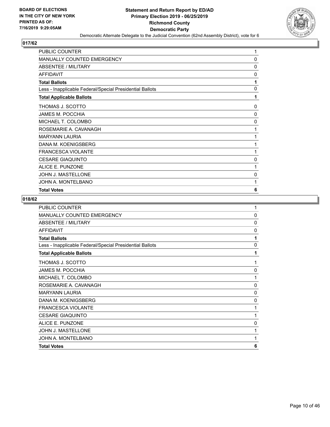

| PUBLIC COUNTER                                           | 1            |
|----------------------------------------------------------|--------------|
| <b>MANUALLY COUNTED EMERGENCY</b>                        | 0            |
| <b>ABSENTEE / MILITARY</b>                               | 0            |
| <b>AFFIDAVIT</b>                                         | 0            |
| <b>Total Ballots</b>                                     | 1            |
| Less - Inapplicable Federal/Special Presidential Ballots | $\mathbf{0}$ |
| <b>Total Applicable Ballots</b>                          | 1            |
| THOMAS J. SCOTTO                                         | 0            |
| <b>JAMES M. POCCHIA</b>                                  | $\mathbf{0}$ |
| MICHAEL T. COLOMBO                                       | 0            |
| ROSEMARIE A. CAVANAGH                                    | 1            |
| <b>MARYANN LAURIA</b>                                    | 1            |
| DANA M. KOENIGSBERG                                      | 1            |
| <b>FRANCESCA VIOLANTE</b>                                | 1            |
| <b>CESARE GIAQUINTO</b>                                  | 0            |
| ALICE E. PUNZONE                                         | 1            |
| <b>JOHN J. MASTELLONE</b>                                | 0            |
| JOHN A. MONTELBANO                                       | 1            |
| <b>Total Votes</b>                                       | 6            |

| PUBLIC COUNTER                                           | 1            |
|----------------------------------------------------------|--------------|
| MANUALLY COUNTED EMERGENCY                               | $\mathbf{0}$ |
| ABSENTEE / MILITARY                                      | $\Omega$     |
| AFFIDAVIT                                                | 0            |
| <b>Total Ballots</b>                                     | 1            |
| Less - Inapplicable Federal/Special Presidential Ballots | $\mathbf{0}$ |
| <b>Total Applicable Ballots</b>                          | 1            |
| THOMAS J. SCOTTO                                         | 1            |
| <b>JAMES M. POCCHIA</b>                                  | 0            |
| MICHAEL T. COLOMBO                                       | 1            |
| ROSEMARIE A. CAVANAGH                                    | 0            |
| <b>MARYANN LAURIA</b>                                    | $\mathbf{0}$ |
| DANA M. KOENIGSBERG                                      | $\Omega$     |
| <b>FRANCESCA VIOLANTE</b>                                | 1            |
| <b>CESARE GIAQUINTO</b>                                  | 1            |
| ALICE E. PUNZONE                                         | $\mathbf{0}$ |
| <b>JOHN J. MASTELLONE</b>                                | 1            |
| JOHN A. MONTELBANO                                       | 1            |
| <b>Total Votes</b>                                       | 6            |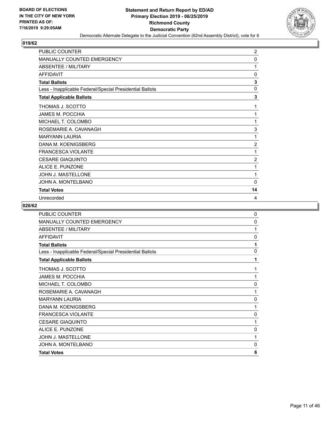

| <b>PUBLIC COUNTER</b>                                    | 2              |
|----------------------------------------------------------|----------------|
| <b>MANUALLY COUNTED EMERGENCY</b>                        | 0              |
| <b>ABSENTEE / MILITARY</b>                               | 1              |
| <b>AFFIDAVIT</b>                                         | 0              |
| <b>Total Ballots</b>                                     | 3              |
| Less - Inapplicable Federal/Special Presidential Ballots | 0              |
| <b>Total Applicable Ballots</b>                          | 3              |
| THOMAS J. SCOTTO                                         | 1              |
| JAMES M. POCCHIA                                         | 1              |
| MICHAEL T. COLOMBO                                       | 1              |
| ROSEMARIE A. CAVANAGH                                    | 3              |
| <b>MARYANN LAURIA</b>                                    | 1              |
| DANA M. KOENIGSBERG                                      | $\overline{2}$ |
| <b>FRANCESCA VIOLANTE</b>                                | 1              |
| <b>CESARE GIAQUINTO</b>                                  | $\overline{c}$ |
| <b>ALICE E. PUNZONE</b>                                  | 1              |
| JOHN J. MASTELLONE                                       | 1              |
| JOHN A. MONTELBANO                                       | $\mathbf{0}$   |
| <b>Total Votes</b>                                       | 14             |
| Unrecorded                                               | 4              |

| <b>PUBLIC COUNTER</b>                                    | 0            |
|----------------------------------------------------------|--------------|
| MANUALLY COUNTED EMERGENCY                               | $\mathbf{0}$ |
| ABSENTEE / MILITARY                                      | 1            |
| <b>AFFIDAVIT</b>                                         | 0            |
| <b>Total Ballots</b>                                     | 1            |
| Less - Inapplicable Federal/Special Presidential Ballots | 0            |
| <b>Total Applicable Ballots</b>                          | 1            |
| THOMAS J. SCOTTO                                         | 1            |
| <b>JAMES M. POCCHIA</b>                                  | 1            |
| MICHAEL T. COLOMBO                                       | 0            |
| ROSEMARIE A. CAVANAGH                                    | 1            |
| <b>MARYANN LAURIA</b>                                    | $\mathbf{0}$ |
| DANA M. KOENIGSBERG                                      | 1            |
| <b>FRANCESCA VIOLANTE</b>                                | 0            |
| <b>CESARE GIAQUINTO</b>                                  | 1            |
| ALICE E. PUNZONE                                         | $\mathbf 0$  |
| <b>JOHN J. MASTELLONE</b>                                | 1            |
| JOHN A. MONTELBANO                                       | 0            |
| <b>Total Votes</b>                                       | 6            |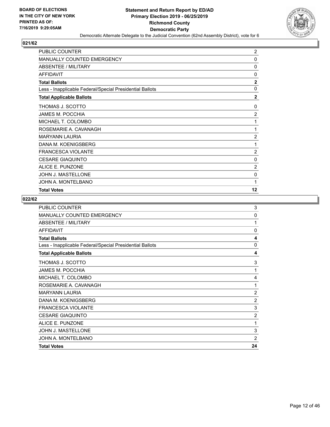

| PUBLIC COUNTER                                           | $\overline{c}$ |
|----------------------------------------------------------|----------------|
| <b>MANUALLY COUNTED EMERGENCY</b>                        | 0              |
| <b>ABSENTEE / MILITARY</b>                               | 0              |
| <b>AFFIDAVIT</b>                                         | 0              |
| <b>Total Ballots</b>                                     | $\mathbf{2}$   |
| Less - Inapplicable Federal/Special Presidential Ballots | $\mathbf{0}$   |
| <b>Total Applicable Ballots</b>                          | $\overline{2}$ |
| THOMAS J. SCOTTO                                         | 0              |
| JAMES M. POCCHIA                                         | 2              |
| MICHAEL T. COLOMBO                                       | 1              |
| ROSEMARIE A. CAVANAGH                                    | 1              |
| <b>MARYANN LAURIA</b>                                    | $\overline{2}$ |
| DANA M. KOENIGSBERG                                      | 1              |
| <b>FRANCESCA VIOLANTE</b>                                | $\overline{2}$ |
| <b>CESARE GIAQUINTO</b>                                  | 0              |
| ALICE E. PUNZONE                                         | $\overline{2}$ |
| <b>JOHN J. MASTELLONE</b>                                | 0              |
| JOHN A. MONTELBANO                                       | 1              |
| <b>Total Votes</b>                                       | 12             |

| <b>PUBLIC COUNTER</b>                                    | 3              |
|----------------------------------------------------------|----------------|
| MANUALLY COUNTED EMERGENCY                               | $\mathbf 0$    |
| ABSENTEE / MILITARY                                      | 1              |
| <b>AFFIDAVIT</b>                                         | $\Omega$       |
| <b>Total Ballots</b>                                     | 4              |
| Less - Inapplicable Federal/Special Presidential Ballots | 0              |
| <b>Total Applicable Ballots</b>                          | 4              |
| THOMAS J. SCOTTO                                         | 3              |
| <b>JAMES M. POCCHIA</b>                                  | 1              |
| MICHAEL T. COLOMBO                                       | 4              |
| ROSEMARIE A. CAVANAGH                                    | 1              |
| <b>MARYANN LAURIA</b>                                    | $\overline{2}$ |
| DANA M. KOENIGSBERG                                      | $\overline{2}$ |
| <b>FRANCESCA VIOLANTE</b>                                | 3              |
| <b>CESARE GIAQUINTO</b>                                  | $\overline{2}$ |
| ALICE E. PUNZONE                                         | 1              |
| <b>JOHN J. MASTELLONE</b>                                | 3              |
| JOHN A. MONTELBANO                                       | $\overline{2}$ |
| <b>Total Votes</b>                                       | 24             |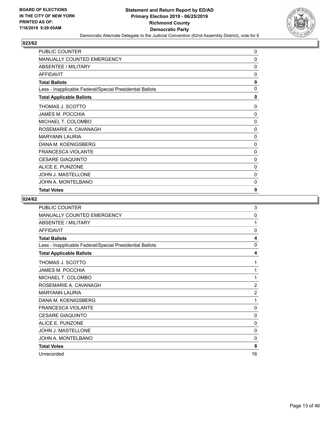

| PUBLIC COUNTER                                           | 0            |
|----------------------------------------------------------|--------------|
| MANUALLY COUNTED EMERGENCY                               | $\mathbf 0$  |
| ABSENTEE / MILITARY                                      | 0            |
| <b>AFFIDAVIT</b>                                         | 0            |
| <b>Total Ballots</b>                                     | 0            |
| Less - Inapplicable Federal/Special Presidential Ballots | $\mathbf{0}$ |
| <b>Total Applicable Ballots</b>                          | 0            |
| THOMAS J. SCOTTO                                         | 0            |
| <b>JAMES M. POCCHIA</b>                                  | 0            |
| MICHAEL T. COLOMBO                                       | 0            |
| ROSEMARIE A. CAVANAGH                                    | $\mathbf{0}$ |
| <b>MARYANN LAURIA</b>                                    | $\mathbf 0$  |
| DANA M. KOENIGSBERG                                      | 0            |
| <b>FRANCESCA VIOLANTE</b>                                | 0            |
| <b>CESARE GIAQUINTO</b>                                  | 0            |
| ALICE E. PUNZONE                                         | 0            |
| <b>JOHN J. MASTELLONE</b>                                | 0            |
| JOHN A. MONTELBANO                                       | 0            |
| <b>Total Votes</b>                                       | 0            |

| <b>PUBLIC COUNTER</b>                                    | 3              |
|----------------------------------------------------------|----------------|
| MANUALLY COUNTED EMERGENCY                               | 0              |
| ABSENTEE / MILITARY                                      | 1              |
| <b>AFFIDAVIT</b>                                         | $\mathbf{0}$   |
| <b>Total Ballots</b>                                     | 4              |
| Less - Inapplicable Federal/Special Presidential Ballots | 0              |
| <b>Total Applicable Ballots</b>                          | 4              |
| THOMAS J. SCOTTO                                         | 1              |
| <b>JAMES M. POCCHIA</b>                                  | 1              |
| MICHAEL T. COLOMBO                                       | 1              |
| ROSEMARIE A. CAVANAGH                                    | $\overline{2}$ |
| <b>MARYANN LAURIA</b>                                    | $\overline{2}$ |
| DANA M. KOENIGSBERG                                      | 1              |
| <b>FRANCESCA VIOLANTE</b>                                | $\Omega$       |
| <b>CESARE GIAQUINTO</b>                                  | 0              |
| ALICE E. PUNZONE                                         | 0              |
| <b>JOHN J. MASTELLONE</b>                                | $\mathbf{0}$   |
| JOHN A. MONTELBANO                                       | 0              |
| <b>Total Votes</b>                                       | 8              |
| Unrecorded                                               | 16             |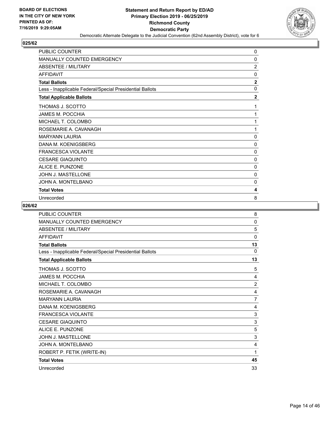

| <b>PUBLIC COUNTER</b>                                    | 0              |
|----------------------------------------------------------|----------------|
| MANUALLY COUNTED EMERGENCY                               | 0              |
| <b>ABSENTEE / MILITARY</b>                               | $\overline{2}$ |
| <b>AFFIDAVIT</b>                                         | $\mathbf{0}$   |
| <b>Total Ballots</b>                                     | $\mathbf{2}$   |
| Less - Inapplicable Federal/Special Presidential Ballots | 0              |
| <b>Total Applicable Ballots</b>                          | $\overline{2}$ |
| THOMAS J. SCOTTO                                         | 1              |
| <b>JAMES M. POCCHIA</b>                                  | 1              |
| MICHAEL T. COLOMBO                                       | 1              |
| ROSEMARIE A. CAVANAGH                                    | 1              |
| <b>MARYANN LAURIA</b>                                    | 0              |
| DANA M. KOENIGSBERG                                      | 0              |
| <b>FRANCESCA VIOLANTE</b>                                | 0              |
| <b>CESARE GIAQUINTO</b>                                  | 0              |
| ALICE E. PUNZONE                                         | 0              |
| JOHN J. MASTELLONE                                       | $\mathbf{0}$   |
| JOHN A. MONTELBANO                                       | 0              |
| <b>Total Votes</b>                                       | 4              |
| Unrecorded                                               | 8              |

| <b>PUBLIC COUNTER</b>                                    | 8              |
|----------------------------------------------------------|----------------|
| <b>MANUALLY COUNTED EMERGENCY</b>                        | 0              |
| <b>ABSENTEE / MILITARY</b>                               | 5              |
| <b>AFFIDAVIT</b>                                         | $\mathbf{0}$   |
| <b>Total Ballots</b>                                     | 13             |
| Less - Inapplicable Federal/Special Presidential Ballots | $\Omega$       |
| <b>Total Applicable Ballots</b>                          | 13             |
| THOMAS J. SCOTTO                                         | 5              |
| <b>JAMES M. POCCHIA</b>                                  | 4              |
| MICHAEL T. COLOMBO                                       | $\overline{2}$ |
| ROSEMARIE A. CAVANAGH                                    | 4              |
| <b>MARYANN LAURIA</b>                                    | $\overline{7}$ |
| DANA M. KOENIGSBERG                                      | 4              |
| <b>FRANCESCA VIOLANTE</b>                                | 3              |
| <b>CESARE GIAQUINTO</b>                                  | 3              |
| ALICE E. PUNZONE                                         | 5              |
| JOHN J. MASTELLONE                                       | 3              |
| JOHN A. MONTELBANO                                       | 4              |
| ROBERT P. FETIK (WRITE-IN)                               | 1              |
| <b>Total Votes</b>                                       | 45             |
| Unrecorded                                               | 33             |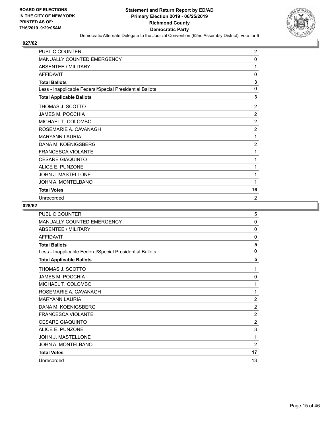

| <b>PUBLIC COUNTER</b>                                    | $\overline{2}$ |
|----------------------------------------------------------|----------------|
| <b>MANUALLY COUNTED EMERGENCY</b>                        | 0              |
| ABSENTEE / MILITARY                                      | 1              |
| <b>AFFIDAVIT</b>                                         | 0              |
| <b>Total Ballots</b>                                     | 3              |
| Less - Inapplicable Federal/Special Presidential Ballots | $\Omega$       |
| <b>Total Applicable Ballots</b>                          | 3              |
| THOMAS J. SCOTTO                                         | $\overline{2}$ |
| JAMES M. POCCHIA                                         | $\overline{2}$ |
| MICHAEL T. COLOMBO                                       | $\overline{2}$ |
| ROSEMARIE A. CAVANAGH                                    | $\overline{2}$ |
| <b>MARYANN LAURIA</b>                                    | 1              |
| DANA M. KOENIGSBERG                                      | $\overline{2}$ |
| <b>FRANCESCA VIOLANTE</b>                                | 1              |
| <b>CESARE GIAQUINTO</b>                                  | 1              |
| ALICE E. PUNZONE                                         | 1              |
| <b>JOHN J. MASTELLONE</b>                                | 1              |
| JOHN A. MONTELBANO                                       | 1              |
| <b>Total Votes</b>                                       | 16             |
| Unrecorded                                               | $\overline{2}$ |

| PUBLIC COUNTER                                           | 5              |
|----------------------------------------------------------|----------------|
| <b>MANUALLY COUNTED EMERGENCY</b>                        | 0              |
| ABSENTEE / MILITARY                                      | $\Omega$       |
| <b>AFFIDAVIT</b>                                         | $\mathbf{0}$   |
| <b>Total Ballots</b>                                     | 5              |
| Less - Inapplicable Federal/Special Presidential Ballots | $\mathbf{0}$   |
| <b>Total Applicable Ballots</b>                          | 5              |
| THOMAS J. SCOTTO                                         | 1              |
| <b>JAMES M. POCCHIA</b>                                  | 0              |
| MICHAEL T. COLOMBO                                       | 1              |
| ROSEMARIE A. CAVANAGH                                    | 1              |
| <b>MARYANN LAURIA</b>                                    | $\overline{2}$ |
| DANA M. KOENIGSBERG                                      | $\overline{2}$ |
| <b>FRANCESCA VIOLANTE</b>                                | $\overline{2}$ |
| <b>CESARE GIAQUINTO</b>                                  | $\overline{2}$ |
| ALICE E. PUNZONE                                         | 3              |
| <b>JOHN J. MASTELLONE</b>                                | 1              |
| JOHN A. MONTELBANO                                       | $\overline{2}$ |
| <b>Total Votes</b>                                       | 17             |
| Unrecorded                                               | 13             |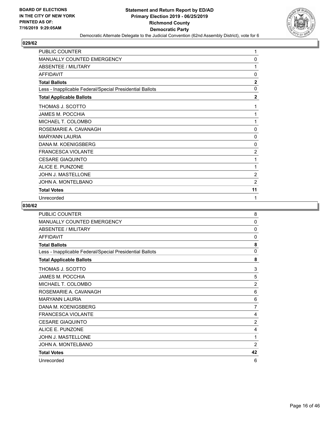

| <b>PUBLIC COUNTER</b>                                    | 1              |
|----------------------------------------------------------|----------------|
| <b>MANUALLY COUNTED EMERGENCY</b>                        | 0              |
| <b>ABSENTEE / MILITARY</b>                               | 1              |
| <b>AFFIDAVIT</b>                                         | 0              |
| <b>Total Ballots</b>                                     | $\mathbf{2}$   |
| Less - Inapplicable Federal/Special Presidential Ballots | $\mathbf{0}$   |
| <b>Total Applicable Ballots</b>                          | $\mathbf{2}$   |
| THOMAS J. SCOTTO                                         | 1              |
| <b>JAMES M. POCCHIA</b>                                  | 1              |
| MICHAEL T. COLOMBO                                       | 1              |
| ROSEMARIE A. CAVANAGH                                    | 0              |
| <b>MARYANN LAURIA</b>                                    | 0              |
| DANA M. KOENIGSBERG                                      | 0              |
| <b>FRANCESCA VIOLANTE</b>                                | $\overline{2}$ |
| <b>CESARE GIAQUINTO</b>                                  | 1              |
| ALICE E. PUNZONE                                         | 1              |
| <b>JOHN J. MASTELLONE</b>                                | $\overline{2}$ |
| JOHN A. MONTELBANO                                       | $\overline{2}$ |
| <b>Total Votes</b>                                       | 11             |
| Unrecorded                                               | 1              |

| PUBLIC COUNTER                                           | 8              |
|----------------------------------------------------------|----------------|
| <b>MANUALLY COUNTED EMERGENCY</b>                        | 0              |
| <b>ABSENTEE / MILITARY</b>                               | $\mathbf{0}$   |
| <b>AFFIDAVIT</b>                                         | $\mathbf{0}$   |
| <b>Total Ballots</b>                                     | 8              |
| Less - Inapplicable Federal/Special Presidential Ballots | $\mathbf{0}$   |
| <b>Total Applicable Ballots</b>                          | 8              |
| THOMAS J. SCOTTO                                         | 3              |
| JAMES M. POCCHIA                                         | 5              |
| MICHAEL T. COLOMBO                                       | $\overline{2}$ |
| ROSEMARIE A. CAVANAGH                                    | 6              |
| <b>MARYANN LAURIA</b>                                    | 6              |
| DANA M. KOENIGSBERG                                      | 7              |
| <b>FRANCESCA VIOLANTE</b>                                | 4              |
| <b>CESARE GIAQUINTO</b>                                  | $\overline{2}$ |
| ALICE E. PUNZONE                                         | 4              |
| <b>JOHN J. MASTELLONE</b>                                | 1              |
| JOHN A. MONTELBANO                                       | $\overline{2}$ |
| <b>Total Votes</b>                                       | 42             |
| Unrecorded                                               | 6              |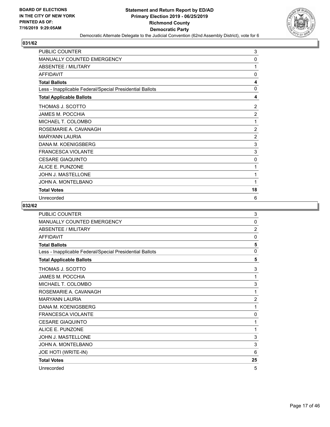

| <b>PUBLIC COUNTER</b>                                    | 3              |
|----------------------------------------------------------|----------------|
| <b>MANUALLY COUNTED EMERGENCY</b>                        | 0              |
| <b>ABSENTEE / MILITARY</b>                               | 1              |
| <b>AFFIDAVIT</b>                                         | 0              |
| <b>Total Ballots</b>                                     | 4              |
| Less - Inapplicable Federal/Special Presidential Ballots | $\mathbf{0}$   |
| <b>Total Applicable Ballots</b>                          | 4              |
| THOMAS J. SCOTTO                                         | $\overline{2}$ |
| JAMES M. POCCHIA                                         | $\overline{2}$ |
| MICHAEL T. COLOMBO                                       | 1              |
| ROSEMARIE A. CAVANAGH                                    | $\overline{c}$ |
| <b>MARYANN LAURIA</b>                                    | $\overline{2}$ |
| DANA M. KOENIGSBERG                                      | 3              |
| <b>FRANCESCA VIOLANTE</b>                                | 3              |
| <b>CESARE GIAQUINTO</b>                                  | 0              |
| <b>ALICE E. PUNZONE</b>                                  | 1              |
| JOHN J. MASTELLONE                                       | 1              |
| JOHN A. MONTELBANO                                       | 1              |
| <b>Total Votes</b>                                       | 18             |
| Unrecorded                                               | 6              |

| <b>PUBLIC COUNTER</b>                                    | 3              |
|----------------------------------------------------------|----------------|
| <b>MANUALLY COUNTED EMERGENCY</b>                        | $\mathbf{0}$   |
| <b>ABSENTEE / MILITARY</b>                               | $\overline{2}$ |
| <b>AFFIDAVIT</b>                                         | $\mathbf{0}$   |
| <b>Total Ballots</b>                                     | 5              |
| Less - Inapplicable Federal/Special Presidential Ballots | $\mathbf{0}$   |
| <b>Total Applicable Ballots</b>                          | 5              |
| THOMAS J. SCOTTO                                         | 3              |
| <b>JAMES M. POCCHIA</b>                                  | 1              |
| MICHAEL T. COLOMBO                                       | 3              |
| ROSEMARIE A. CAVANAGH                                    | 1              |
| <b>MARYANN LAURIA</b>                                    | $\overline{2}$ |
| DANA M. KOENIGSBERG                                      | 1              |
| <b>FRANCESCA VIOLANTE</b>                                | $\mathbf 0$    |
| <b>CESARE GIAQUINTO</b>                                  | 1              |
| ALICE E. PUNZONE                                         | 1              |
| JOHN J. MASTELLONE                                       | 3              |
| JOHN A. MONTELBANO                                       | 3              |
| JOE HOTI (WRITE-IN)                                      | 6              |
| <b>Total Votes</b>                                       | 25             |
| Unrecorded                                               | 5              |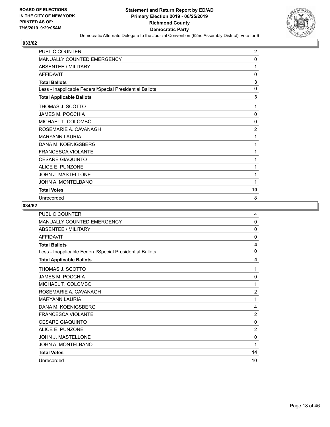

| PUBLIC COUNTER                                           | $\overline{2}$ |
|----------------------------------------------------------|----------------|
| <b>MANUALLY COUNTED EMERGENCY</b>                        | 0              |
| <b>ABSENTEE / MILITARY</b>                               | 1              |
| <b>AFFIDAVIT</b>                                         | 0              |
| <b>Total Ballots</b>                                     | 3              |
| Less - Inapplicable Federal/Special Presidential Ballots | 0              |
| <b>Total Applicable Ballots</b>                          | 3              |
| THOMAS J. SCOTTO                                         | 1              |
| <b>JAMES M. POCCHIA</b>                                  | 0              |
| MICHAEL T. COLOMBO                                       | 0              |
| ROSEMARIE A. CAVANAGH                                    | $\overline{c}$ |
| <b>MARYANN LAURIA</b>                                    | 1              |
| DANA M. KOENIGSBERG                                      | 1              |
| <b>FRANCESCA VIOLANTE</b>                                | 1              |
| <b>CESARE GIAQUINTO</b>                                  | 1              |
| <b>ALICE E. PUNZONE</b>                                  | 1              |
| JOHN J. MASTELLONE                                       | 1              |
| JOHN A. MONTELBANO                                       | 1              |
| <b>Total Votes</b>                                       | 10             |
| Unrecorded                                               | 8              |

| PUBLIC COUNTER                                           | 4              |
|----------------------------------------------------------|----------------|
| <b>MANUALLY COUNTED EMERGENCY</b>                        | 0              |
| <b>ABSENTEE / MILITARY</b>                               | $\Omega$       |
| <b>AFFIDAVIT</b>                                         | $\mathbf{0}$   |
| <b>Total Ballots</b>                                     | 4              |
| Less - Inapplicable Federal/Special Presidential Ballots | 0              |
| <b>Total Applicable Ballots</b>                          | 4              |
| THOMAS J. SCOTTO                                         | 1              |
| <b>JAMES M. POCCHIA</b>                                  | 0              |
| MICHAEL T. COLOMBO                                       | 1              |
| ROSEMARIE A. CAVANAGH                                    | $\overline{2}$ |
| <b>MARYANN LAURIA</b>                                    | 1              |
| DANA M. KOENIGSBERG                                      | 4              |
| <b>FRANCESCA VIOLANTE</b>                                | $\overline{2}$ |
| <b>CESARE GIAQUINTO</b>                                  | 0              |
| ALICE E. PUNZONE                                         | $\overline{2}$ |
| <b>JOHN J. MASTELLONE</b>                                | $\mathbf 0$    |
| JOHN A. MONTELBANO                                       | 1              |
| <b>Total Votes</b>                                       | 14             |
| Unrecorded                                               | 10             |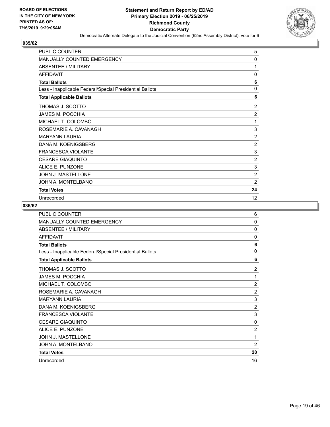

| <b>PUBLIC COUNTER</b>                                    | 5              |
|----------------------------------------------------------|----------------|
| <b>MANUALLY COUNTED EMERGENCY</b>                        | 0              |
| <b>ABSENTEE / MILITARY</b>                               | 1              |
| <b>AFFIDAVIT</b>                                         | 0              |
| <b>Total Ballots</b>                                     | 6              |
| Less - Inapplicable Federal/Special Presidential Ballots | $\Omega$       |
| <b>Total Applicable Ballots</b>                          | 6              |
| THOMAS J. SCOTTO                                         | $\overline{2}$ |
| JAMES M. POCCHIA                                         | 2              |
| MICHAEL T. COLOMBO                                       | 1              |
| ROSEMARIE A. CAVANAGH                                    | 3              |
| <b>MARYANN LAURIA</b>                                    | $\overline{2}$ |
| DANA M. KOENIGSBERG                                      | $\overline{2}$ |
| <b>FRANCESCA VIOLANTE</b>                                | 3              |
| <b>CESARE GIAQUINTO</b>                                  | 2              |
| <b>ALICE E. PUNZONE</b>                                  | 3              |
| JOHN J. MASTELLONE                                       | $\overline{2}$ |
| JOHN A. MONTELBANO                                       | 2              |
| <b>Total Votes</b>                                       | 24             |
| Unrecorded                                               | 12             |

| <b>PUBLIC COUNTER</b>                                    | 6              |
|----------------------------------------------------------|----------------|
| <b>MANUALLY COUNTED EMERGENCY</b>                        | 0              |
| <b>ABSENTEE / MILITARY</b>                               | $\mathbf{0}$   |
| <b>AFFIDAVIT</b>                                         | $\mathbf{0}$   |
| <b>Total Ballots</b>                                     | 6              |
| Less - Inapplicable Federal/Special Presidential Ballots | $\mathbf{0}$   |
| <b>Total Applicable Ballots</b>                          | 6              |
| THOMAS J. SCOTTO                                         | $\overline{2}$ |
| <b>JAMES M. POCCHIA</b>                                  | 1              |
| MICHAEL T. COLOMBO                                       | $\overline{2}$ |
| ROSEMARIE A. CAVANAGH                                    | $\overline{2}$ |
| <b>MARYANN LAURIA</b>                                    | 3              |
| DANA M. KOENIGSBERG                                      | $\overline{2}$ |
| <b>FRANCESCA VIOLANTE</b>                                | 3              |
| <b>CESARE GIAQUINTO</b>                                  | 0              |
| ALICE E. PUNZONE                                         | $\overline{2}$ |
| <b>JOHN J. MASTELLONE</b>                                | 1              |
| JOHN A. MONTELBANO                                       | $\overline{2}$ |
| <b>Total Votes</b>                                       | 20             |
| Unrecorded                                               | 16             |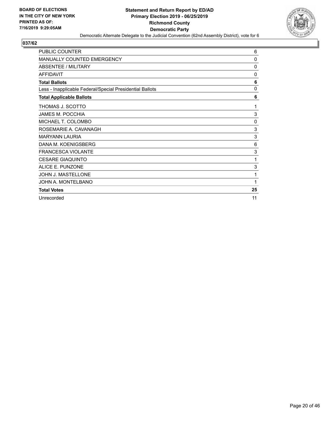

| <b>PUBLIC COUNTER</b>                                    | 6          |
|----------------------------------------------------------|------------|
| MANUALLY COUNTED EMERGENCY                               | 0          |
| ABSENTEE / MILITARY                                      | 0          |
| <b>AFFIDAVIT</b>                                         | 0          |
| <b>Total Ballots</b>                                     | 6          |
| Less - Inapplicable Federal/Special Presidential Ballots | 0          |
| <b>Total Applicable Ballots</b>                          | 6          |
| THOMAS J. SCOTTO                                         | 1          |
| <b>JAMES M. POCCHIA</b>                                  | 3          |
| MICHAEL T. COLOMBO                                       | 0          |
| ROSEMARIE A. CAVANAGH                                    | $\sqrt{3}$ |
| <b>MARYANN LAURIA</b>                                    | 3          |
| DANA M. KOENIGSBERG                                      | 6          |
| <b>FRANCESCA VIOLANTE</b>                                | $\sqrt{3}$ |
| <b>CESARE GIAQUINTO</b>                                  | 1          |
| ALICE E. PUNZONE                                         | 3          |
| <b>JOHN J. MASTELLONE</b>                                | 1          |
| JOHN A. MONTELBANO                                       | 1          |
| <b>Total Votes</b>                                       | 25         |
| Unrecorded                                               | 11         |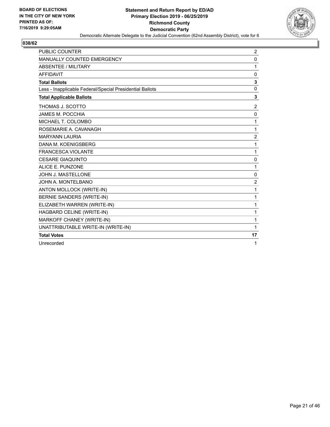

| <b>PUBLIC COUNTER</b>                                    | 2              |
|----------------------------------------------------------|----------------|
| MANUALLY COUNTED EMERGENCY                               | $\mathbf{0}$   |
| <b>ABSENTEE / MILITARY</b>                               | 1              |
| <b>AFFIDAVIT</b>                                         | 0              |
| <b>Total Ballots</b>                                     | 3              |
| Less - Inapplicable Federal/Special Presidential Ballots | 0              |
| <b>Total Applicable Ballots</b>                          | 3              |
| THOMAS J. SCOTTO                                         | 2              |
| <b>JAMES M. POCCHIA</b>                                  | $\mathbf{0}$   |
| MICHAEL T. COLOMBO                                       | 1              |
| ROSEMARIE A. CAVANAGH                                    | 1              |
| <b>MARYANN LAURIA</b>                                    | $\overline{c}$ |
| DANA M. KOENIGSBERG                                      | 1              |
| <b>FRANCESCA VIOLANTE</b>                                | 1              |
| <b>CESARE GIAQUINTO</b>                                  | 0              |
| ALICE E. PUNZONE                                         | 1              |
| JOHN J. MASTELLONE                                       | $\mathbf 0$    |
| JOHN A. MONTELBANO                                       | $\overline{c}$ |
| ANTON MOLLOCK (WRITE-IN)                                 | 1              |
| <b>BERNIE SANDERS (WRITE-IN)</b>                         | 1              |
| ELIZABETH WARREN (WRITE-IN)                              | 1              |
| HAGBARD CELINE (WRITE-IN)                                | 1              |
| MARKOFF CHANEY (WRITE-IN)                                | 1              |
| UNATTRIBUTABLE WRITE-IN (WRITE-IN)                       | 1              |
| <b>Total Votes</b>                                       | 17             |
| Unrecorded                                               | 1              |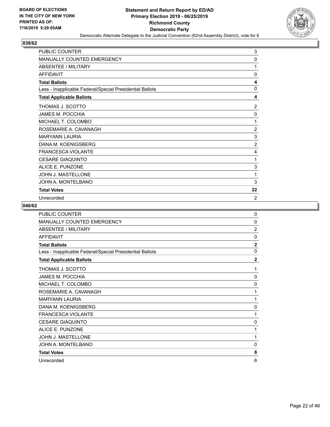

| <b>PUBLIC COUNTER</b>                                    | 3              |
|----------------------------------------------------------|----------------|
| <b>MANUALLY COUNTED EMERGENCY</b>                        | 0              |
| <b>ABSENTEE / MILITARY</b>                               | 1              |
| <b>AFFIDAVIT</b>                                         | $\Omega$       |
| <b>Total Ballots</b>                                     | 4              |
| Less - Inapplicable Federal/Special Presidential Ballots | $\mathbf{0}$   |
| <b>Total Applicable Ballots</b>                          | 4              |
| THOMAS J. SCOTTO                                         | 2              |
| JAMES M. POCCHIA                                         | 0              |
| MICHAEL T. COLOMBO                                       | 1              |
| ROSEMARIE A. CAVANAGH                                    | $\overline{2}$ |
| <b>MARYANN LAURIA</b>                                    | 3              |
| DANA M. KOENIGSBERG                                      | $\overline{2}$ |
| <b>FRANCESCA VIOLANTE</b>                                | 4              |
| <b>CESARE GIAQUINTO</b>                                  | 1              |
| ALICE E. PUNZONE                                         | 3              |
| <b>JOHN J. MASTELLONE</b>                                | 1              |
| JOHN A. MONTELBANO                                       | 3              |
| <b>Total Votes</b>                                       | 22             |
| Unrecorded                                               | $\overline{2}$ |

| PUBLIC COUNTER                                           | 0              |
|----------------------------------------------------------|----------------|
| MANUALLY COUNTED EMERGENCY                               | $\mathbf{0}$   |
| <b>ABSENTEE / MILITARY</b>                               | $\overline{2}$ |
| <b>AFFIDAVIT</b>                                         | $\mathbf{0}$   |
| <b>Total Ballots</b>                                     | $\overline{2}$ |
| Less - Inapplicable Federal/Special Presidential Ballots | $\mathbf{0}$   |
| <b>Total Applicable Ballots</b>                          | $\overline{2}$ |
| THOMAS J. SCOTTO                                         | 1              |
| <b>JAMES M. POCCHIA</b>                                  | $\mathbf{0}$   |
| MICHAEL T. COLOMBO                                       | $\mathbf{0}$   |
| ROSEMARIE A. CAVANAGH                                    | 1              |
| <b>MARYANN LAURIA</b>                                    | 1              |
| DANA M. KOENIGSBERG                                      | 0              |
| <b>FRANCESCA VIOLANTE</b>                                | 1              |
| <b>CESARE GIAQUINTO</b>                                  | 0              |
| ALICE E. PUNZONE                                         | 1              |
| JOHN J. MASTELLONE                                       | 1              |
| JOHN A. MONTELBANO                                       | $\mathbf{0}$   |
| <b>Total Votes</b>                                       | 6              |
| Unrecorded                                               | 6              |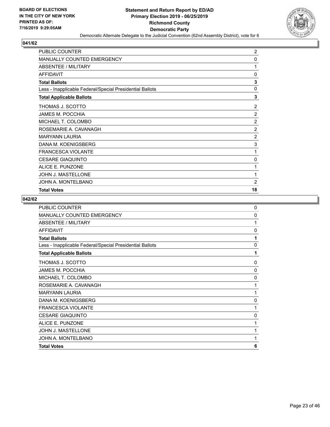

| <b>PUBLIC COUNTER</b>                                    | $\overline{2}$ |
|----------------------------------------------------------|----------------|
| MANUALLY COUNTED EMERGENCY                               | 0              |
| ABSENTEE / MILITARY                                      | 1              |
| <b>AFFIDAVIT</b>                                         | 0              |
| <b>Total Ballots</b>                                     | 3              |
| Less - Inapplicable Federal/Special Presidential Ballots | 0              |
| <b>Total Applicable Ballots</b>                          | 3              |
| THOMAS J. SCOTTO                                         | $\overline{2}$ |
| <b>JAMES M. POCCHIA</b>                                  | 2              |
| MICHAEL T. COLOMBO                                       | $\overline{2}$ |
| ROSEMARIE A. CAVANAGH                                    | $\overline{2}$ |
| <b>MARYANN LAURIA</b>                                    | $\overline{c}$ |
| DANA M. KOENIGSBERG                                      | 3              |
| <b>FRANCESCA VIOLANTE</b>                                | 1              |
| <b>CESARE GIAQUINTO</b>                                  | 0              |
| ALICE E. PUNZONE                                         | 1              |
| JOHN J. MASTELLONE                                       | 1              |
| JOHN A. MONTELBANO                                       | $\overline{2}$ |
| <b>Total Votes</b>                                       | 18             |

| <b>Total Votes</b>                                       | 6        |
|----------------------------------------------------------|----------|
| JOHN A. MONTELBANO                                       | 1        |
| <b>JOHN J. MASTELLONE</b>                                | 1        |
| ALICE E. PUNZONE                                         | 1        |
| <b>CESARE GIAQUINTO</b>                                  | 0        |
| <b>FRANCESCA VIOLANTE</b>                                | 1        |
| DANA M. KOENIGSBERG                                      | 0        |
| <b>MARYANN LAURIA</b>                                    | 1        |
| ROSEMARIE A. CAVANAGH                                    | 1        |
| MICHAEL T. COLOMBO                                       | 0        |
| <b>JAMES M. POCCHIA</b>                                  | 0        |
| THOMAS J. SCOTTO                                         | 0        |
| <b>Total Applicable Ballots</b>                          | 1        |
| Less - Inapplicable Federal/Special Presidential Ballots | 0        |
| <b>Total Ballots</b>                                     | 1        |
| <b>AFFIDAVIT</b>                                         | 0        |
| ABSENTEE / MILITARY                                      | 1        |
| MANUALLY COUNTED EMERGENCY                               | $\Omega$ |
| <b>PUBLIC COUNTER</b>                                    | 0        |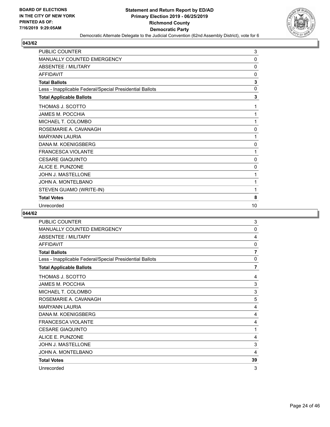

| PUBLIC COUNTER                                           | 3            |
|----------------------------------------------------------|--------------|
| MANUALLY COUNTED EMERGENCY                               | $\mathbf{0}$ |
| <b>ABSENTEE / MILITARY</b>                               | $\mathbf{0}$ |
| <b>AFFIDAVIT</b>                                         | 0            |
| <b>Total Ballots</b>                                     | 3            |
| Less - Inapplicable Federal/Special Presidential Ballots | $\mathbf{0}$ |
| <b>Total Applicable Ballots</b>                          | 3            |
| THOMAS J. SCOTTO                                         | 1            |
| JAMES M. POCCHIA                                         | 1            |
| MICHAEL T. COLOMBO                                       | 1            |
| ROSEMARIE A. CAVANAGH                                    | 0            |
| <b>MARYANN LAURIA</b>                                    | 1            |
| DANA M. KOENIGSBERG                                      | 0            |
| <b>FRANCESCA VIOLANTE</b>                                | 1            |
| <b>CESARE GIAQUINTO</b>                                  | 0            |
| ALICE E. PUNZONE                                         | 0            |
| JOHN J. MASTELLONE                                       | 1            |
| JOHN A. MONTELBANO                                       | 1            |
| STEVEN GUAMO (WRITE-IN)                                  | 1            |
| <b>Total Votes</b>                                       | 8            |
| Unrecorded                                               | 10           |

| <b>PUBLIC COUNTER</b>                                    | 3            |
|----------------------------------------------------------|--------------|
| <b>MANUALLY COUNTED EMERGENCY</b>                        | $\mathbf{0}$ |
| ABSENTEE / MILITARY                                      | 4            |
| <b>AFFIDAVIT</b>                                         | 0            |
| <b>Total Ballots</b>                                     | 7            |
| Less - Inapplicable Federal/Special Presidential Ballots | 0            |
| <b>Total Applicable Ballots</b>                          | 7            |
| THOMAS J. SCOTTO                                         | 4            |
| <b>JAMES M. POCCHIA</b>                                  | 3            |
| MICHAEL T. COLOMBO                                       | 3            |
| ROSEMARIE A. CAVANAGH                                    | 5            |
| <b>MARYANN LAURIA</b>                                    | 4            |
| DANA M. KOENIGSBERG                                      | 4            |
| <b>FRANCESCA VIOLANTE</b>                                | 4            |
| <b>CESARE GIAQUINTO</b>                                  | 1            |
| ALICE E. PUNZONE                                         | 4            |
| <b>JOHN J. MASTELLONE</b>                                | 3            |
| JOHN A. MONTELBANO                                       | 4            |
| <b>Total Votes</b>                                       | 39           |
| Unrecorded                                               | 3            |
|                                                          |              |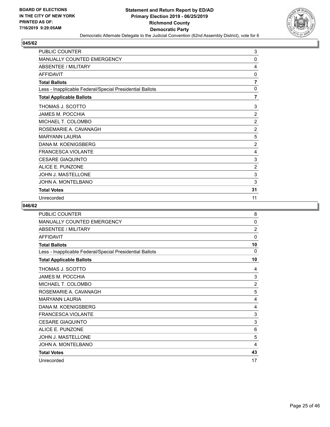

| <b>PUBLIC COUNTER</b>                                    | 3              |
|----------------------------------------------------------|----------------|
| <b>MANUALLY COUNTED EMERGENCY</b>                        | 0              |
| <b>ABSENTEE / MILITARY</b>                               | 4              |
| <b>AFFIDAVIT</b>                                         | 0              |
| <b>Total Ballots</b>                                     | 7              |
| Less - Inapplicable Federal/Special Presidential Ballots | $\mathbf{0}$   |
| <b>Total Applicable Ballots</b>                          | 7              |
| THOMAS J. SCOTTO                                         | 3              |
| <b>JAMES M. POCCHIA</b>                                  | $\overline{2}$ |
| MICHAEL T. COLOMBO                                       | $\overline{2}$ |
| ROSEMARIE A. CAVANAGH                                    | $\overline{2}$ |
| <b>MARYANN LAURIA</b>                                    | 5              |
| DANA M. KOENIGSBERG                                      | $\overline{2}$ |
| <b>FRANCESCA VIOLANTE</b>                                | 4              |
| <b>CESARE GIAQUINTO</b>                                  | 3              |
| <b>ALICE E. PUNZONE</b>                                  | 2              |
| JOHN J. MASTELLONE                                       | 3              |
| JOHN A. MONTELBANO                                       | 3              |
| <b>Total Votes</b>                                       | 31             |
| Unrecorded                                               | 11             |

| <b>PUBLIC COUNTER</b>                                    | 8              |
|----------------------------------------------------------|----------------|
| MANUALLY COUNTED EMERGENCY                               | 0              |
| <b>ABSENTEE / MILITARY</b>                               | $\overline{2}$ |
| <b>AFFIDAVIT</b>                                         | $\mathbf{0}$   |
| <b>Total Ballots</b>                                     | 10             |
| Less - Inapplicable Federal/Special Presidential Ballots | $\Omega$       |
| <b>Total Applicable Ballots</b>                          | 10             |
| THOMAS J. SCOTTO                                         | 4              |
| <b>JAMES M. POCCHIA</b>                                  | 3              |
| MICHAEL T. COLOMBO                                       | $\overline{2}$ |
| ROSEMARIE A. CAVANAGH                                    | 5              |
| <b>MARYANN LAURIA</b>                                    | 4              |
| DANA M. KOENIGSBERG                                      | 4              |
| <b>FRANCESCA VIOLANTE</b>                                | 3              |
| <b>CESARE GIAQUINTO</b>                                  | 3              |
| ALICE E. PUNZONE                                         | 6              |
| <b>JOHN J. MASTELLONE</b>                                | 5              |
| JOHN A. MONTELBANO                                       | 4              |
| <b>Total Votes</b>                                       | 43             |
| Unrecorded                                               | 17             |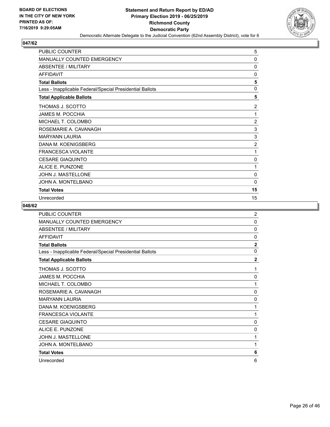

| <b>PUBLIC COUNTER</b>                                    | 5              |
|----------------------------------------------------------|----------------|
| MANUALLY COUNTED EMERGENCY                               | 0              |
| <b>ABSENTEE / MILITARY</b>                               | 0              |
| <b>AFFIDAVIT</b>                                         | $\mathbf{0}$   |
| <b>Total Ballots</b>                                     | 5              |
| Less - Inapplicable Federal/Special Presidential Ballots | $\mathbf{0}$   |
| <b>Total Applicable Ballots</b>                          | 5              |
| THOMAS J. SCOTTO                                         | 2              |
| JAMES M. POCCHIA                                         | 1              |
| MICHAEL T. COLOMBO                                       | $\overline{2}$ |
| ROSEMARIE A. CAVANAGH                                    | 3              |
| <b>MARYANN LAURIA</b>                                    | 3              |
| DANA M. KOENIGSBERG                                      | $\overline{2}$ |
| <b>FRANCESCA VIOLANTE</b>                                | 1              |
| <b>CESARE GIAQUINTO</b>                                  | 0              |
| ALICE E. PUNZONE                                         | 1              |
| JOHN J. MASTELLONE                                       | 0              |
| JOHN A. MONTELBANO                                       | 0              |
| <b>Total Votes</b>                                       | 15             |
| Unrecorded                                               | 15             |

| PUBLIC COUNTER                                           | $\overline{2}$ |
|----------------------------------------------------------|----------------|
| <b>MANUALLY COUNTED EMERGENCY</b>                        | 0              |
| ABSENTEE / MILITARY                                      | $\Omega$       |
| <b>AFFIDAVIT</b>                                         | $\mathbf{0}$   |
| <b>Total Ballots</b>                                     | $\mathbf{2}$   |
| Less - Inapplicable Federal/Special Presidential Ballots | $\mathbf{0}$   |
| <b>Total Applicable Ballots</b>                          | $\overline{2}$ |
| THOMAS J. SCOTTO                                         | 1              |
| JAMES M. POCCHIA                                         | 0              |
| MICHAEL T. COLOMBO                                       | 1              |
| ROSEMARIE A. CAVANAGH                                    | 0              |
| <b>MARYANN LAURIA</b>                                    | 0              |
| DANA M. KOENIGSBERG                                      | 1              |
| <b>FRANCESCA VIOLANTE</b>                                | 1              |
| <b>CESARE GIAQUINTO</b>                                  | 0              |
| ALICE E. PUNZONE                                         | 0              |
| <b>JOHN J. MASTELLONE</b>                                | 1              |
| JOHN A. MONTELBANO                                       | 1              |
| <b>Total Votes</b>                                       | 6              |
| Unrecorded                                               | 6              |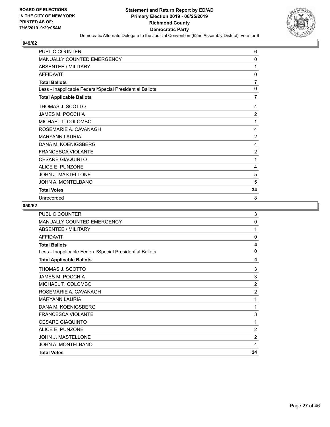

| <b>PUBLIC COUNTER</b>                                    | 6              |
|----------------------------------------------------------|----------------|
| <b>MANUALLY COUNTED EMERGENCY</b>                        | 0              |
| <b>ABSENTEE / MILITARY</b>                               | 1              |
| <b>AFFIDAVIT</b>                                         | 0              |
| <b>Total Ballots</b>                                     | 7              |
| Less - Inapplicable Federal/Special Presidential Ballots | $\mathbf{0}$   |
| <b>Total Applicable Ballots</b>                          | 7              |
| THOMAS J. SCOTTO                                         | 4              |
| <b>JAMES M. POCCHIA</b>                                  | $\overline{2}$ |
| MICHAEL T. COLOMBO                                       | 1              |
| ROSEMARIE A. CAVANAGH                                    | 4              |
| <b>MARYANN LAURIA</b>                                    | $\overline{2}$ |
| DANA M. KOENIGSBERG                                      | 4              |
| <b>FRANCESCA VIOLANTE</b>                                | $\overline{2}$ |
| <b>CESARE GIAQUINTO</b>                                  | 1              |
| <b>ALICE E. PUNZONE</b>                                  | 4              |
| JOHN J. MASTELLONE                                       | 5              |
| JOHN A. MONTELBANO                                       | 5              |
| <b>Total Votes</b>                                       | 34             |
| Unrecorded                                               | 8              |

| <b>Total Votes</b>                                       | 24             |
|----------------------------------------------------------|----------------|
| JOHN A. MONTELBANO                                       | 4              |
| <b>JOHN J. MASTELLONE</b>                                | $\overline{2}$ |
| ALICE E. PUNZONE                                         | $\overline{2}$ |
| <b>CESARE GIAQUINTO</b>                                  | 1              |
| <b>FRANCESCA VIOLANTE</b>                                | 3              |
| DANA M. KOENIGSBERG                                      | 1              |
| <b>MARYANN LAURIA</b>                                    | 1              |
| ROSEMARIE A. CAVANAGH                                    | $\overline{2}$ |
| MICHAEL T. COLOMBO                                       | $\overline{2}$ |
| <b>JAMES M. POCCHIA</b>                                  | 3              |
| THOMAS J. SCOTTO                                         | 3              |
| <b>Total Applicable Ballots</b>                          | 4              |
| Less - Inapplicable Federal/Special Presidential Ballots | $\mathbf{0}$   |
| <b>Total Ballots</b>                                     | 4              |
| <b>AFFIDAVIT</b>                                         | $\mathbf 0$    |
| <b>ABSENTEE / MILITARY</b>                               | 1              |
| <b>MANUALLY COUNTED EMERGENCY</b>                        | $\mathbf 0$    |
| <b>PUBLIC COUNTER</b>                                    | 3              |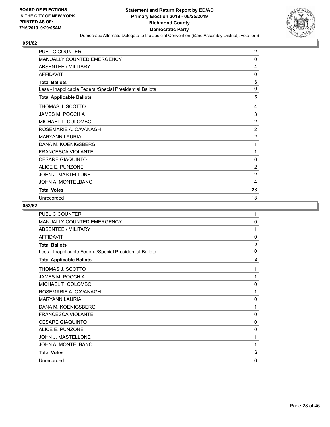

| <b>PUBLIC COUNTER</b>                                    | $\overline{2}$ |
|----------------------------------------------------------|----------------|
| <b>MANUALLY COUNTED EMERGENCY</b>                        | 0              |
| <b>ABSENTEE / MILITARY</b>                               | 4              |
| <b>AFFIDAVIT</b>                                         | $\Omega$       |
| <b>Total Ballots</b>                                     | 6              |
| Less - Inapplicable Federal/Special Presidential Ballots | $\Omega$       |
| <b>Total Applicable Ballots</b>                          | 6              |
| THOMAS J. SCOTTO                                         | 4              |
| JAMES M. POCCHIA                                         | 3              |
| MICHAEL T. COLOMBO                                       | 2              |
| ROSEMARIE A. CAVANAGH                                    | $\overline{2}$ |
| <b>MARYANN LAURIA</b>                                    | $\overline{2}$ |
| DANA M. KOENIGSBERG                                      | 1              |
| <b>FRANCESCA VIOLANTE</b>                                | 1              |
| <b>CESARE GIAQUINTO</b>                                  | 0              |
| ALICE E. PUNZONE                                         | 2              |
| <b>JOHN J. MASTELLONE</b>                                | $\overline{2}$ |
| JOHN A. MONTELBANO                                       | 4              |
| <b>Total Votes</b>                                       | 23             |
| Unrecorded                                               | 13             |

| PUBLIC COUNTER                                           | 1              |
|----------------------------------------------------------|----------------|
| MANUALLY COUNTED EMERGENCY                               | 0              |
| <b>ABSENTEE / MILITARY</b>                               | 1              |
| <b>AFFIDAVIT</b>                                         | $\mathbf{0}$   |
| <b>Total Ballots</b>                                     | $\mathbf{2}$   |
| Less - Inapplicable Federal/Special Presidential Ballots | $\mathbf{0}$   |
| <b>Total Applicable Ballots</b>                          | $\overline{2}$ |
| THOMAS J. SCOTTO                                         | 1              |
| <b>JAMES M. POCCHIA</b>                                  | 1              |
| MICHAEL T. COLOMBO                                       | 0              |
| ROSEMARIE A. CAVANAGH                                    | 1              |
| <b>MARYANN LAURIA</b>                                    | 0              |
| DANA M. KOENIGSBERG                                      | 1              |
| <b>FRANCESCA VIOLANTE</b>                                | 0              |
| <b>CESARE GIAQUINTO</b>                                  | 0              |
| ALICE E. PUNZONE                                         | 0              |
| <b>JOHN J. MASTELLONE</b>                                | 1              |
| JOHN A. MONTELBANO                                       | 1              |
| <b>Total Votes</b>                                       | 6              |
| Unrecorded                                               | 6              |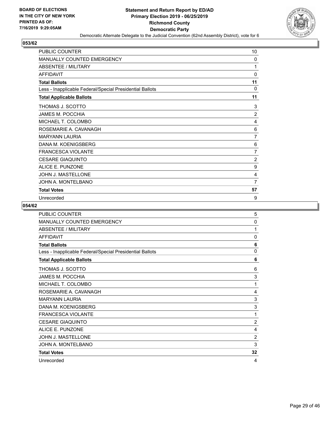

| <b>PUBLIC COUNTER</b>                                    | 10             |
|----------------------------------------------------------|----------------|
| MANUALLY COUNTED EMERGENCY                               | 0              |
| ABSENTEE / MILITARY                                      | 1              |
| <b>AFFIDAVIT</b>                                         | $\mathbf{0}$   |
| <b>Total Ballots</b>                                     | 11             |
| Less - Inapplicable Federal/Special Presidential Ballots | 0              |
| <b>Total Applicable Ballots</b>                          | 11             |
| THOMAS J. SCOTTO                                         | 3              |
| JAMES M. POCCHIA                                         | $\overline{2}$ |
| MICHAEL T. COLOMBO                                       | 4              |
| ROSEMARIE A. CAVANAGH                                    | 6              |
| <b>MARYANN LAURIA</b>                                    | 7              |
| DANA M. KOENIGSBERG                                      | 6              |
| <b>FRANCESCA VIOLANTE</b>                                | 7              |
| <b>CESARE GIAQUINTO</b>                                  | $\overline{2}$ |
| ALICE E. PUNZONE                                         | 9              |
| JOHN J. MASTELLONE                                       | 4              |
| JOHN A. MONTELBANO                                       | $\overline{7}$ |
| <b>Total Votes</b>                                       | 57             |
| Unrecorded                                               | 9              |

| <b>PUBLIC COUNTER</b>                                    | 5              |
|----------------------------------------------------------|----------------|
| MANUALLY COUNTED EMERGENCY                               | $\mathbf 0$    |
| <b>ABSENTEE / MILITARY</b>                               | 1              |
| <b>AFFIDAVIT</b>                                         | $\mathbf{0}$   |
| <b>Total Ballots</b>                                     | 6              |
| Less - Inapplicable Federal/Special Presidential Ballots | $\mathbf{0}$   |
| <b>Total Applicable Ballots</b>                          | 6              |
| THOMAS J. SCOTTO                                         | 6              |
| <b>JAMES M. POCCHIA</b>                                  | 3              |
| MICHAEL T. COLOMBO                                       | 1              |
| ROSEMARIE A. CAVANAGH                                    | 4              |
| <b>MARYANN LAURIA</b>                                    | 3              |
| DANA M. KOENIGSBERG                                      | 3              |
| <b>FRANCESCA VIOLANTE</b>                                | 1              |
| <b>CESARE GIAQUINTO</b>                                  | $\overline{2}$ |
| ALICE E. PUNZONE                                         | 4              |
| JOHN J. MASTELLONE                                       | $\overline{2}$ |
| JOHN A. MONTELBANO                                       | 3              |
| <b>Total Votes</b>                                       | 32             |
| Unrecorded                                               | 4              |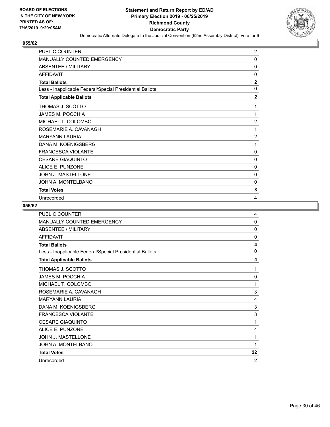

| <b>PUBLIC COUNTER</b>                                    | 2              |
|----------------------------------------------------------|----------------|
| MANUALLY COUNTED EMERGENCY                               | 0              |
| <b>ABSENTEE / MILITARY</b>                               | 0              |
| <b>AFFIDAVIT</b>                                         | $\mathbf{0}$   |
| <b>Total Ballots</b>                                     | $\mathbf{2}$   |
| Less - Inapplicable Federal/Special Presidential Ballots | $\mathbf{0}$   |
| <b>Total Applicable Ballots</b>                          | $\mathbf{2}$   |
| THOMAS J. SCOTTO                                         | 1              |
| JAMES M. POCCHIA                                         | 1              |
| MICHAEL T. COLOMBO                                       | $\overline{2}$ |
| ROSEMARIE A. CAVANAGH                                    | 1              |
| <b>MARYANN LAURIA</b>                                    | $\overline{2}$ |
| DANA M. KOENIGSBERG                                      | 1              |
| <b>FRANCESCA VIOLANTE</b>                                | $\mathbf{0}$   |
| <b>CESARE GIAQUINTO</b>                                  | 0              |
| ALICE E. PUNZONE                                         | 0              |
| JOHN J. MASTELLONE                                       | $\mathbf{0}$   |
| JOHN A. MONTELBANO                                       | 0              |
| <b>Total Votes</b>                                       | 8              |
| Unrecorded                                               | 4              |

| PUBLIC COUNTER                                           | 4              |
|----------------------------------------------------------|----------------|
| <b>MANUALLY COUNTED EMERGENCY</b>                        | 0              |
| <b>ABSENTEE / MILITARY</b>                               | $\Omega$       |
| <b>AFFIDAVIT</b>                                         | $\mathbf{0}$   |
| <b>Total Ballots</b>                                     | 4              |
| Less - Inapplicable Federal/Special Presidential Ballots | $\mathbf{0}$   |
| <b>Total Applicable Ballots</b>                          | 4              |
| THOMAS J. SCOTTO                                         | 1              |
| <b>JAMES M. POCCHIA</b>                                  | 0              |
| MICHAEL T. COLOMBO                                       | 1              |
| ROSEMARIE A. CAVANAGH                                    | 3              |
| <b>MARYANN LAURIA</b>                                    | 4              |
| DANA M. KOENIGSBERG                                      | 3              |
| <b>FRANCESCA VIOLANTE</b>                                | 3              |
| <b>CESARE GIAQUINTO</b>                                  | 1              |
| ALICE E. PUNZONE                                         | 4              |
| <b>JOHN J. MASTELLONE</b>                                | 1              |
| JOHN A. MONTELBANO                                       | 1              |
| <b>Total Votes</b>                                       | 22             |
| Unrecorded                                               | $\overline{2}$ |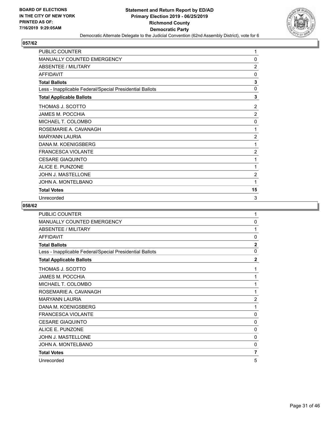

| PUBLIC COUNTER                                           | 1              |
|----------------------------------------------------------|----------------|
| MANUALLY COUNTED EMERGENCY                               | 0              |
| <b>ABSENTEE / MILITARY</b>                               | $\overline{2}$ |
| <b>AFFIDAVIT</b>                                         | $\mathbf{0}$   |
| <b>Total Ballots</b>                                     | 3              |
| Less - Inapplicable Federal/Special Presidential Ballots | 0              |
| <b>Total Applicable Ballots</b>                          | 3              |
| THOMAS J. SCOTTO                                         | $\overline{2}$ |
| JAMES M. POCCHIA                                         | 2              |
| MICHAEL T. COLOMBO                                       | 0              |
| ROSEMARIE A. CAVANAGH                                    | 1              |
| <b>MARYANN LAURIA</b>                                    | $\overline{2}$ |
| DANA M. KOENIGSBERG                                      | 1              |
| <b>FRANCESCA VIOLANTE</b>                                | $\overline{2}$ |
| <b>CESARE GIAQUINTO</b>                                  | 1              |
| ALICE E. PUNZONE                                         | 1              |
| JOHN J. MASTELLONE                                       | $\overline{2}$ |
| JOHN A. MONTELBANO                                       | 1              |
| <b>Total Votes</b>                                       | 15             |
| Unrecorded                                               | 3              |

| PUBLIC COUNTER                                           | 1              |
|----------------------------------------------------------|----------------|
| <b>MANUALLY COUNTED EMERGENCY</b>                        | 0              |
| ABSENTEE / MILITARY                                      | 1              |
| <b>AFFIDAVIT</b>                                         | $\mathbf{0}$   |
| <b>Total Ballots</b>                                     | $\overline{2}$ |
| Less - Inapplicable Federal/Special Presidential Ballots | $\mathbf{0}$   |
| <b>Total Applicable Ballots</b>                          | $\overline{2}$ |
| THOMAS J. SCOTTO                                         | 1              |
| JAMES M. POCCHIA                                         | 1              |
| MICHAEL T. COLOMBO                                       | 1              |
| ROSEMARIE A. CAVANAGH                                    | 1              |
| <b>MARYANN LAURIA</b>                                    | $\overline{2}$ |
| DANA M. KOENIGSBERG                                      | 1              |
| <b>FRANCESCA VIOLANTE</b>                                | 0              |
| <b>CESARE GIAQUINTO</b>                                  | 0              |
| ALICE E. PUNZONE                                         | 0              |
| <b>JOHN J. MASTELLONE</b>                                | 0              |
| JOHN A. MONTELBANO                                       | $\mathbf{0}$   |
| <b>Total Votes</b>                                       | 7              |
| Unrecorded                                               | 5              |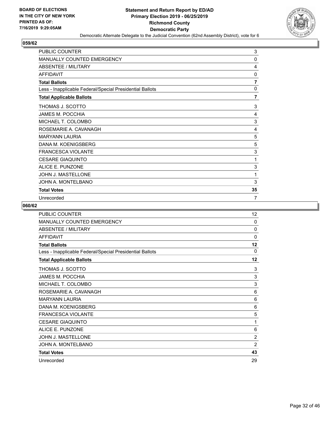

| <b>PUBLIC COUNTER</b>                                    | 3              |
|----------------------------------------------------------|----------------|
| <b>MANUALLY COUNTED EMERGENCY</b>                        | 0              |
| <b>ABSENTEE / MILITARY</b>                               | 4              |
| <b>AFFIDAVIT</b>                                         | 0              |
| <b>Total Ballots</b>                                     | $\overline{7}$ |
| Less - Inapplicable Federal/Special Presidential Ballots | 0              |
| <b>Total Applicable Ballots</b>                          | 7              |
| THOMAS J. SCOTTO                                         | 3              |
| JAMES M. POCCHIA                                         | 4              |
| MICHAEL T. COLOMBO                                       | 3              |
| ROSEMARIE A. CAVANAGH                                    | 4              |
| <b>MARYANN LAURIA</b>                                    | 5              |
| DANA M. KOENIGSBERG                                      | 5              |
| <b>FRANCESCA VIOLANTE</b>                                | 3              |
| <b>CESARE GIAQUINTO</b>                                  | 1              |
| <b>ALICE E. PUNZONE</b>                                  | 3              |
| JOHN J. MASTELLONE                                       | 1              |
| JOHN A. MONTELBANO                                       | 3              |
| <b>Total Votes</b>                                       | 35             |
| Unrecorded                                               | $\overline{7}$ |

| PUBLIC COUNTER                                           | 12             |
|----------------------------------------------------------|----------------|
| MANUALLY COUNTED EMERGENCY                               | 0              |
| <b>ABSENTEE / MILITARY</b>                               | $\Omega$       |
| <b>AFFIDAVIT</b>                                         | $\mathbf{0}$   |
| <b>Total Ballots</b>                                     | 12             |
| Less - Inapplicable Federal/Special Presidential Ballots | $\Omega$       |
| <b>Total Applicable Ballots</b>                          | 12             |
| THOMAS J. SCOTTO                                         | 3              |
| <b>JAMES M. POCCHIA</b>                                  | 3              |
| MICHAEL T. COLOMBO                                       | 3              |
| ROSEMARIE A. CAVANAGH                                    | 6              |
| <b>MARYANN LAURIA</b>                                    | 6              |
| DANA M. KOENIGSBERG                                      | 6              |
| <b>FRANCESCA VIOLANTE</b>                                | 5              |
| <b>CESARE GIAQUINTO</b>                                  | 1              |
| ALICE E. PUNZONE                                         | 6              |
| <b>JOHN J. MASTELLONE</b>                                | $\overline{2}$ |
| JOHN A. MONTELBANO                                       | $\overline{2}$ |
| <b>Total Votes</b>                                       | 43             |
| Unrecorded                                               | 29             |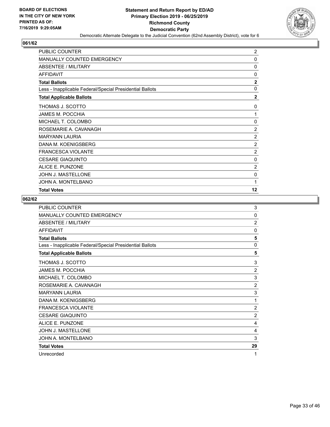

| PUBLIC COUNTER                                           | $\overline{2}$ |
|----------------------------------------------------------|----------------|
| MANUALLY COUNTED EMERGENCY                               | $\mathbf 0$    |
| ABSENTEE / MILITARY                                      | 0              |
| <b>AFFIDAVIT</b>                                         | 0              |
| <b>Total Ballots</b>                                     | $\mathbf{2}$   |
| Less - Inapplicable Federal/Special Presidential Ballots | $\mathbf 0$    |
| <b>Total Applicable Ballots</b>                          | $\overline{2}$ |
| THOMAS J. SCOTTO                                         | 0              |
| <b>JAMES M. POCCHIA</b>                                  | 1              |
| MICHAEL T. COLOMBO                                       | 0              |
| ROSEMARIE A. CAVANAGH                                    | $\overline{2}$ |
| <b>MARYANN LAURIA</b>                                    | $\overline{c}$ |
| DANA M. KOENIGSBERG                                      | $\overline{2}$ |
| <b>FRANCESCA VIOLANTE</b>                                | $\overline{c}$ |
| <b>CESARE GIAQUINTO</b>                                  | 0              |
| ALICE E. PUNZONE                                         | $\overline{2}$ |
| JOHN J. MASTELLONE                                       | 0              |
| JOHN A. MONTELBANO                                       | 1              |
| <b>Total Votes</b>                                       | 12             |

| <b>PUBLIC COUNTER</b>                                    | 3              |
|----------------------------------------------------------|----------------|
| <b>MANUALLY COUNTED EMERGENCY</b>                        | 0              |
| ABSENTEE / MILITARY                                      | $\overline{2}$ |
| <b>AFFIDAVIT</b>                                         | $\mathbf{0}$   |
| <b>Total Ballots</b>                                     | 5              |
| Less - Inapplicable Federal/Special Presidential Ballots | 0              |
| <b>Total Applicable Ballots</b>                          | 5              |
| THOMAS J. SCOTTO                                         | 3              |
| <b>JAMES M. POCCHIA</b>                                  | $\overline{2}$ |
| MICHAEL T. COLOMBO                                       | 3              |
| ROSEMARIE A. CAVANAGH                                    | $\overline{2}$ |
| <b>MARYANN LAURIA</b>                                    | 3              |
| DANA M. KOENIGSBERG                                      | 1              |
| <b>FRANCESCA VIOLANTE</b>                                | $\overline{2}$ |
| <b>CESARE GIAQUINTO</b>                                  | $\overline{2}$ |
| ALICE E. PUNZONE                                         | 4              |
| <b>JOHN J. MASTELLONE</b>                                | 4              |
| JOHN A. MONTELBANO                                       | 3              |
| <b>Total Votes</b>                                       | 29             |
| Unrecorded                                               | 1              |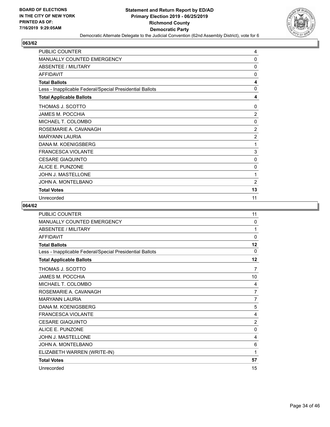

| PUBLIC COUNTER                                           | 4              |
|----------------------------------------------------------|----------------|
| MANUALLY COUNTED EMERGENCY                               | 0              |
| <b>ABSENTEE / MILITARY</b>                               | 0              |
| <b>AFFIDAVIT</b>                                         | $\mathbf{0}$   |
| <b>Total Ballots</b>                                     | 4              |
| Less - Inapplicable Federal/Special Presidential Ballots | $\mathbf{0}$   |
| <b>Total Applicable Ballots</b>                          | 4              |
| THOMAS J. SCOTTO                                         | $\mathbf{0}$   |
| <b>JAMES M. POCCHIA</b>                                  | $\overline{2}$ |
| MICHAEL T. COLOMBO                                       | 0              |
| ROSEMARIE A. CAVANAGH                                    | $\overline{2}$ |
| <b>MARYANN LAURIA</b>                                    | $\overline{2}$ |
| DANA M. KOENIGSBERG                                      | 1              |
| <b>FRANCESCA VIOLANTE</b>                                | 3              |
| <b>CESARE GIAQUINTO</b>                                  | 0              |
| ALICE E. PUNZONE                                         | 0              |
| JOHN J. MASTELLONE                                       | 1              |
| JOHN A. MONTELBANO                                       | $\overline{2}$ |
| <b>Total Votes</b>                                       | 13             |
| Unrecorded                                               | 11             |

| <b>PUBLIC COUNTER</b>                                    | 11             |
|----------------------------------------------------------|----------------|
| MANUALLY COUNTED EMERGENCY                               | $\Omega$       |
| <b>ABSENTEE / MILITARY</b>                               | 1              |
| <b>AFFIDAVIT</b>                                         | 0              |
| <b>Total Ballots</b>                                     | 12             |
| Less - Inapplicable Federal/Special Presidential Ballots | $\Omega$       |
| <b>Total Applicable Ballots</b>                          | 12             |
| THOMAS J. SCOTTO                                         | 7              |
| <b>JAMES M. POCCHIA</b>                                  | 10             |
| MICHAEL T. COLOMBO                                       | 4              |
| ROSEMARIE A. CAVANAGH                                    | 7              |
| <b>MARYANN LAURIA</b>                                    | $\overline{7}$ |
| DANA M. KOENIGSBERG                                      | 5              |
| <b>FRANCESCA VIOLANTE</b>                                | 4              |
| <b>CESARE GIAQUINTO</b>                                  | $\overline{2}$ |
| ALICE E. PUNZONE                                         | $\mathbf{0}$   |
| JOHN J. MASTELLONE                                       | 4              |
| JOHN A. MONTELBANO                                       | 6              |
| ELIZABETH WARREN (WRITE-IN)                              | 1              |
| <b>Total Votes</b>                                       | 57             |
| Unrecorded                                               | 15             |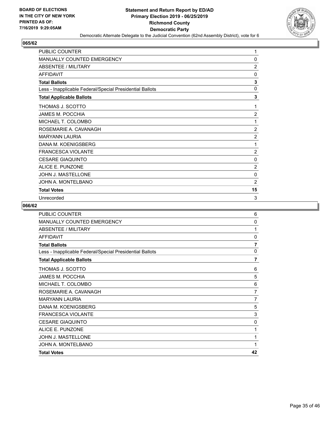

| PUBLIC COUNTER                                           | 1              |
|----------------------------------------------------------|----------------|
| MANUALLY COUNTED EMERGENCY                               | 0              |
| <b>ABSENTEE / MILITARY</b>                               | $\overline{2}$ |
| <b>AFFIDAVIT</b>                                         | $\mathbf{0}$   |
| <b>Total Ballots</b>                                     | 3              |
| Less - Inapplicable Federal/Special Presidential Ballots | 0              |
| <b>Total Applicable Ballots</b>                          | 3              |
| THOMAS J. SCOTTO                                         | 1              |
| <b>JAMES M. POCCHIA</b>                                  | $\overline{2}$ |
| MICHAEL T. COLOMBO                                       | 1              |
| ROSEMARIE A. CAVANAGH                                    | $\overline{2}$ |
| <b>MARYANN LAURIA</b>                                    | $\overline{2}$ |
| DANA M. KOENIGSBERG                                      | 1              |
| <b>FRANCESCA VIOLANTE</b>                                | $\overline{2}$ |
| <b>CESARE GIAQUINTO</b>                                  | 0              |
| ALICE E. PUNZONE                                         | $\overline{2}$ |
| JOHN J. MASTELLONE                                       | 0              |
| JOHN A. MONTELBANO                                       | $\overline{2}$ |
| <b>Total Votes</b>                                       | 15             |
| Unrecorded                                               | 3              |

| <b>PUBLIC COUNTER</b>                                    | 6              |
|----------------------------------------------------------|----------------|
| <b>MANUALLY COUNTED EMERGENCY</b>                        | 0              |
| <b>ABSENTEE / MILITARY</b>                               | 1              |
| <b>AFFIDAVIT</b>                                         | 0              |
| <b>Total Ballots</b>                                     | $\overline{7}$ |
| Less - Inapplicable Federal/Special Presidential Ballots | $\mathbf{0}$   |
| <b>Total Applicable Ballots</b>                          | $\overline{7}$ |
| THOMAS J. SCOTTO                                         | 6              |
| <b>JAMES M. POCCHIA</b>                                  | 5              |
| MICHAEL T. COLOMBO                                       | 6              |
| ROSEMARIE A. CAVANAGH                                    | 7              |
| <b>MARYANN LAURIA</b>                                    | 7              |
| DANA M. KOENIGSBERG                                      | 5              |
| <b>FRANCESCA VIOLANTE</b>                                | 3              |
| <b>CESARE GIAQUINTO</b>                                  | 0              |
| ALICE E. PUNZONE                                         | 1              |
| <b>JOHN J. MASTELLONE</b>                                | 1              |
| JOHN A. MONTELBANO                                       | 1              |
| <b>Total Votes</b>                                       | 42             |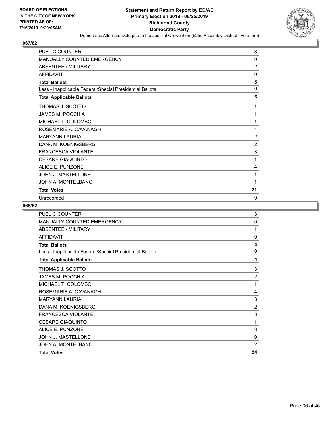

| <b>PUBLIC COUNTER</b>                                    | 3              |
|----------------------------------------------------------|----------------|
| MANUALLY COUNTED EMERGENCY                               | 0              |
| <b>ABSENTEE / MILITARY</b>                               | $\overline{2}$ |
| <b>AFFIDAVIT</b>                                         | $\mathbf{0}$   |
| <b>Total Ballots</b>                                     | 5              |
| Less - Inapplicable Federal/Special Presidential Ballots | 0              |
| <b>Total Applicable Ballots</b>                          | 5              |
| THOMAS J. SCOTTO                                         | 1              |
| JAMES M. POCCHIA                                         | 1              |
| MICHAEL T. COLOMBO                                       | 1              |
| ROSEMARIE A. CAVANAGH                                    | 4              |
| <b>MARYANN LAURIA</b>                                    | $\overline{2}$ |
| DANA M. KOENIGSBERG                                      | $\overline{2}$ |
| <b>FRANCESCA VIOLANTE</b>                                | 3              |
| <b>CESARE GIAQUINTO</b>                                  | 1              |
| ALICE E. PUNZONE                                         | 4              |
| JOHN J. MASTELLONE                                       | 1              |
| JOHN A. MONTELBANO                                       | 1              |
| <b>Total Votes</b>                                       | 21             |
| Unrecorded                                               | 9              |

| <b>PUBLIC COUNTER</b>                                    | 3              |
|----------------------------------------------------------|----------------|
| <b>MANUALLY COUNTED EMERGENCY</b>                        | 0              |
| <b>ABSENTEE / MILITARY</b>                               | 1              |
| <b>AFFIDAVIT</b>                                         | 0              |
| <b>Total Ballots</b>                                     | 4              |
| Less - Inapplicable Federal/Special Presidential Ballots | $\mathbf{0}$   |
| <b>Total Applicable Ballots</b>                          | 4              |
| THOMAS J. SCOTTO                                         | 3              |
| <b>JAMES M. POCCHIA</b>                                  | $\overline{2}$ |
| MICHAEL T. COLOMBO                                       | 1              |
| ROSEMARIE A. CAVANAGH                                    | 4              |
| <b>MARYANN LAURIA</b>                                    | 3              |
| DANA M. KOENIGSBERG                                      | $\overline{2}$ |
| <b>FRANCESCA VIOLANTE</b>                                | 3              |
| <b>CESARE GIAQUINTO</b>                                  | 1              |
| ALICE E. PUNZONE                                         | 3              |
| <b>JOHN J. MASTELLONE</b>                                | $\mathbf{0}$   |
| JOHN A. MONTELBANO                                       | $\overline{2}$ |
| <b>Total Votes</b>                                       | 24             |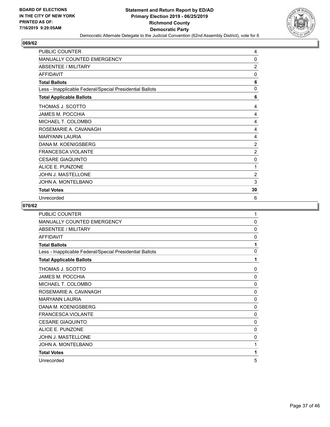

| PUBLIC COUNTER                                           | 4              |
|----------------------------------------------------------|----------------|
| <b>MANUALLY COUNTED EMERGENCY</b>                        | 0              |
| <b>ABSENTEE / MILITARY</b>                               | $\overline{2}$ |
| <b>AFFIDAVIT</b>                                         | 0              |
| <b>Total Ballots</b>                                     | 6              |
| Less - Inapplicable Federal/Special Presidential Ballots | 0              |
| <b>Total Applicable Ballots</b>                          | 6              |
| THOMAS J. SCOTTO                                         | 4              |
| <b>JAMES M. POCCHIA</b>                                  | 4              |
| MICHAEL T. COLOMBO                                       | 4              |
| ROSEMARIE A. CAVANAGH                                    | 4              |
| <b>MARYANN LAURIA</b>                                    | 4              |
| DANA M. KOENIGSBERG                                      | $\overline{2}$ |
| <b>FRANCESCA VIOLANTE</b>                                | $\overline{2}$ |
| <b>CESARE GIAQUINTO</b>                                  | 0              |
| ALICE E. PUNZONE                                         | 1              |
| JOHN J. MASTELLONE                                       | $\overline{2}$ |
| JOHN A. MONTELBANO                                       | 3              |
| <b>Total Votes</b>                                       | 30             |
| Unrecorded                                               | 6              |

| <b>PUBLIC COUNTER</b>                                    | 1            |
|----------------------------------------------------------|--------------|
| <b>MANUALLY COUNTED EMERGENCY</b>                        | $\mathbf{0}$ |
| <b>ABSENTEE / MILITARY</b>                               | 0            |
| <b>AFFIDAVIT</b>                                         | $\mathbf{0}$ |
| <b>Total Ballots</b>                                     | 1            |
| Less - Inapplicable Federal/Special Presidential Ballots | 0            |
| <b>Total Applicable Ballots</b>                          | 1            |
| THOMAS J. SCOTTO                                         | $\mathbf{0}$ |
| <b>JAMES M. POCCHIA</b>                                  | $\mathbf{0}$ |
| MICHAEL T. COLOMBO                                       | 0            |
| ROSEMARIE A. CAVANAGH                                    | 0            |
| <b>MARYANN LAURIA</b>                                    | 0            |
| DANA M. KOENIGSBERG                                      | $\mathbf{0}$ |
| <b>FRANCESCA VIOLANTE</b>                                | $\mathbf{0}$ |
| <b>CESARE GIAQUINTO</b>                                  | $\mathbf{0}$ |
| ALICE E. PUNZONE                                         | $\mathbf{0}$ |
| <b>JOHN J. MASTELLONE</b>                                | 0            |
| JOHN A. MONTELBANO                                       | 1            |
| <b>Total Votes</b>                                       | 1            |
| Unrecorded                                               | 5            |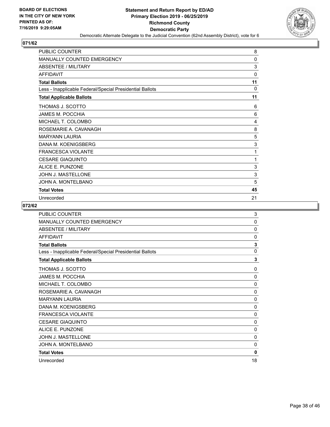

| <b>PUBLIC COUNTER</b>                                    | 8            |
|----------------------------------------------------------|--------------|
| MANUALLY COUNTED EMERGENCY                               | 0            |
| ABSENTEE / MILITARY                                      | 3            |
| <b>AFFIDAVIT</b>                                         | $\mathbf{0}$ |
| <b>Total Ballots</b>                                     | 11           |
| Less - Inapplicable Federal/Special Presidential Ballots | 0            |
| <b>Total Applicable Ballots</b>                          | 11           |
| THOMAS J. SCOTTO                                         | 6            |
| JAMES M. POCCHIA                                         | 6            |
| MICHAEL T. COLOMBO                                       | 4            |
| ROSEMARIE A. CAVANAGH                                    | 8            |
| <b>MARYANN LAURIA</b>                                    | 5            |
| DANA M. KOENIGSBERG                                      | 3            |
| <b>FRANCESCA VIOLANTE</b>                                | 1            |
| <b>CESARE GIAQUINTO</b>                                  | 1            |
| ALICE E. PUNZONE                                         | 3            |
| JOHN J. MASTELLONE                                       | 3            |
| JOHN A. MONTELBANO                                       | 5            |
| <b>Total Votes</b>                                       | 45           |
| Unrecorded                                               | 21           |

| PUBLIC COUNTER                                           | 3            |
|----------------------------------------------------------|--------------|
| <b>MANUALLY COUNTED EMERGENCY</b>                        | 0            |
| <b>ABSENTEE / MILITARY</b>                               | 0            |
| <b>AFFIDAVIT</b>                                         | $\mathbf{0}$ |
| <b>Total Ballots</b>                                     | 3            |
| Less - Inapplicable Federal/Special Presidential Ballots | $\mathbf{0}$ |
| <b>Total Applicable Ballots</b>                          | 3            |
| THOMAS J. SCOTTO                                         | 0            |
| <b>JAMES M. POCCHIA</b>                                  | 0            |
| MICHAEL T. COLOMBO                                       | $\mathbf 0$  |
| ROSEMARIE A. CAVANAGH                                    | 0            |
| <b>MARYANN LAURIA</b>                                    | 0            |
| DANA M. KOENIGSBERG                                      | $\mathbf{0}$ |
| <b>FRANCESCA VIOLANTE</b>                                | 0            |
| <b>CESARE GIAQUINTO</b>                                  | 0            |
| ALICE E. PUNZONE                                         | 0            |
| <b>JOHN J. MASTELLONE</b>                                | 0            |
| JOHN A. MONTELBANO                                       | 0            |
| <b>Total Votes</b>                                       | 0            |
| Unrecorded                                               | 18           |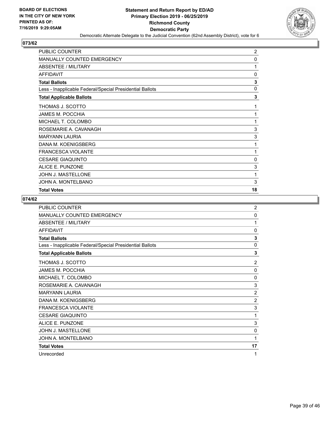

| PUBLIC COUNTER                                           | $\overline{c}$ |
|----------------------------------------------------------|----------------|
| MANUALLY COUNTED EMERGENCY                               | 0              |
| ABSENTEE / MILITARY                                      | 1              |
| <b>AFFIDAVIT</b>                                         | 0              |
| <b>Total Ballots</b>                                     | 3              |
| Less - Inapplicable Federal/Special Presidential Ballots | 0              |
| <b>Total Applicable Ballots</b>                          | 3              |
| THOMAS J. SCOTTO                                         | 1              |
| JAMES M. POCCHIA                                         | 1              |
| MICHAEL T. COLOMBO                                       | 1              |
| ROSEMARIE A. CAVANAGH                                    | 3              |
| <b>MARYANN LAURIA</b>                                    | 3              |
| DANA M. KOENIGSBERG                                      | 1              |
| <b>FRANCESCA VIOLANTE</b>                                | 1              |
| <b>CESARE GIAQUINTO</b>                                  | 0              |
| ALICE E. PUNZONE                                         | 3              |
| JOHN J. MASTELLONE                                       | 1              |
| JOHN A. MONTELBANO                                       | 3              |
| <b>Total Votes</b>                                       | 18             |

| PUBLIC COUNTER                                           | $\overline{2}$ |
|----------------------------------------------------------|----------------|
| MANUALLY COUNTED EMERGENCY                               | 0              |
| ABSENTEE / MILITARY                                      | 1              |
| <b>AFFIDAVIT</b>                                         | $\mathbf{0}$   |
| <b>Total Ballots</b>                                     | 3              |
| Less - Inapplicable Federal/Special Presidential Ballots | 0              |
| <b>Total Applicable Ballots</b>                          | 3              |
| THOMAS J. SCOTTO                                         | 2              |
| <b>JAMES M. POCCHIA</b>                                  | $\mathbf{0}$   |
| MICHAEL T. COLOMBO                                       | $\mathbf{0}$   |
| ROSEMARIE A. CAVANAGH                                    | 3              |
| <b>MARYANN LAURIA</b>                                    | $\overline{2}$ |
| DANA M. KOENIGSBERG                                      | $\overline{2}$ |
| <b>FRANCESCA VIOLANTE</b>                                | 3              |
| <b>CESARE GIAQUINTO</b>                                  | 1              |
| ALICE E. PUNZONE                                         | 3              |
| <b>JOHN J. MASTELLONE</b>                                | 0              |
| JOHN A. MONTELBANO                                       | 1              |
| <b>Total Votes</b>                                       | 17             |
| Unrecorded                                               | 1              |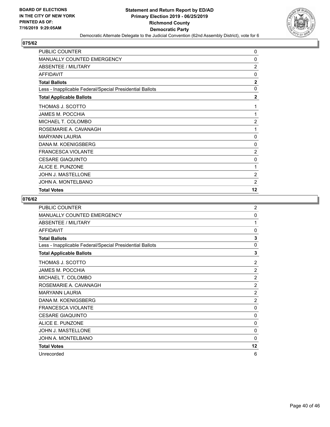

| PUBLIC COUNTER                                           | 0              |
|----------------------------------------------------------|----------------|
| MANUALLY COUNTED EMERGENCY                               | 0              |
| ABSENTEE / MILITARY                                      | $\overline{2}$ |
| <b>AFFIDAVIT</b>                                         | 0              |
| <b>Total Ballots</b>                                     | $\mathbf{2}$   |
| Less - Inapplicable Federal/Special Presidential Ballots | $\Omega$       |
| <b>Total Applicable Ballots</b>                          | $\overline{2}$ |
| THOMAS J. SCOTTO                                         | 1              |
| <b>JAMES M. POCCHIA</b>                                  | 1              |
| MICHAEL T. COLOMBO                                       | $\overline{2}$ |
| ROSEMARIE A. CAVANAGH                                    | 1              |
| <b>MARYANN LAURIA</b>                                    | 0              |
| DANA M. KOENIGSBERG                                      | 0              |
| <b>FRANCESCA VIOLANTE</b>                                | $\overline{2}$ |
| <b>CESARE GIAQUINTO</b>                                  | 0              |
| ALICE E. PUNZONE                                         | 1              |
| JOHN J. MASTELLONE                                       | $\overline{c}$ |
| JOHN A. MONTELBANO                                       | $\overline{2}$ |
| <b>Total Votes</b>                                       | 12             |

| <b>PUBLIC COUNTER</b>                                    | $\overline{2}$ |
|----------------------------------------------------------|----------------|
| MANUALLY COUNTED EMERGENCY                               | 0              |
| ABSENTEE / MILITARY                                      | 1              |
| <b>AFFIDAVIT</b>                                         | $\mathbf{0}$   |
| <b>Total Ballots</b>                                     | 3              |
| Less - Inapplicable Federal/Special Presidential Ballots | 0              |
| <b>Total Applicable Ballots</b>                          | 3              |
| THOMAS J. SCOTTO                                         | $\overline{2}$ |
| <b>JAMES M. POCCHIA</b>                                  | $\overline{2}$ |
| MICHAEL T. COLOMBO                                       | $\overline{2}$ |
| ROSEMARIE A. CAVANAGH                                    | $\overline{2}$ |
| <b>MARYANN LAURIA</b>                                    | $\overline{2}$ |
| DANA M. KOENIGSBERG                                      | $\overline{2}$ |
| <b>FRANCESCA VIOLANTE</b>                                | $\Omega$       |
| <b>CESARE GIAQUINTO</b>                                  | 0              |
| ALICE E. PUNZONE                                         | 0              |
| <b>JOHN J. MASTELLONE</b>                                | $\mathbf{0}$   |
| JOHN A. MONTELBANO                                       | $\Omega$       |
| <b>Total Votes</b>                                       | 12             |
| Unrecorded                                               | 6              |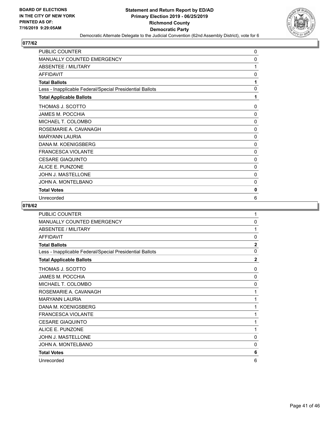

| <b>PUBLIC COUNTER</b>                                    | 0            |
|----------------------------------------------------------|--------------|
| <b>MANUALLY COUNTED EMERGENCY</b>                        | 0            |
| <b>ABSENTEE / MILITARY</b>                               | 1            |
| <b>AFFIDAVIT</b>                                         | 0            |
| <b>Total Ballots</b>                                     | 1            |
| Less - Inapplicable Federal/Special Presidential Ballots | $\Omega$     |
| <b>Total Applicable Ballots</b>                          | 1            |
| THOMAS J. SCOTTO                                         | $\Omega$     |
| <b>JAMES M. POCCHIA</b>                                  | 0            |
| MICHAEL T. COLOMBO                                       | $\mathbf{0}$ |
| ROSEMARIE A. CAVANAGH                                    | 0            |
| <b>MARYANN LAURIA</b>                                    | 0            |
| DANA M. KOENIGSBERG                                      | $\mathbf{0}$ |
| <b>FRANCESCA VIOLANTE</b>                                | $\mathbf{0}$ |
| <b>CESARE GIAQUINTO</b>                                  | 0            |
| ALICE E. PUNZONE                                         | 0            |
| <b>JOHN J. MASTELLONE</b>                                | $\mathbf{0}$ |
| JOHN A. MONTELBANO                                       | 0            |
| <b>Total Votes</b>                                       | 0            |
| Unrecorded                                               | 6            |

| <b>PUBLIC COUNTER</b>                                    | 1              |
|----------------------------------------------------------|----------------|
| MANUALLY COUNTED EMERGENCY                               | 0              |
| <b>ABSENTEE / MILITARY</b>                               | 1              |
| <b>AFFIDAVIT</b>                                         | $\mathbf{0}$   |
| <b>Total Ballots</b>                                     | $\mathbf{2}$   |
| Less - Inapplicable Federal/Special Presidential Ballots | 0              |
| <b>Total Applicable Ballots</b>                          | $\overline{2}$ |
| THOMAS J. SCOTTO                                         | 0              |
| <b>JAMES M. POCCHIA</b>                                  | 0              |
| MICHAEL T. COLOMBO                                       | 0              |
| ROSEMARIE A. CAVANAGH                                    | 1              |
| <b>MARYANN LAURIA</b>                                    | 1              |
| DANA M. KOENIGSBERG                                      | 1              |
| <b>FRANCESCA VIOLANTE</b>                                | 1              |
| <b>CESARE GIAQUINTO</b>                                  | 1              |
| ALICE E. PUNZONE                                         | 1              |
| <b>JOHN J. MASTELLONE</b>                                | 0              |
| JOHN A. MONTELBANO                                       | 0              |
| <b>Total Votes</b>                                       | 6              |
| Unrecorded                                               | 6              |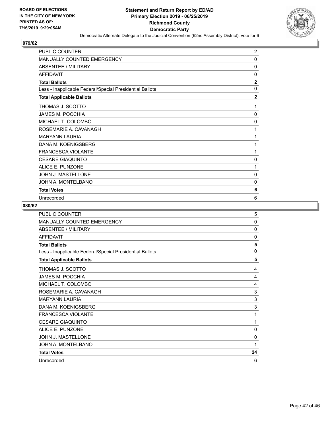

| <b>PUBLIC COUNTER</b>                                    | 2              |
|----------------------------------------------------------|----------------|
| <b>MANUALLY COUNTED EMERGENCY</b>                        | 0              |
| <b>ABSENTEE / MILITARY</b>                               | $\mathbf{0}$   |
| <b>AFFIDAVIT</b>                                         | $\mathbf{0}$   |
| <b>Total Ballots</b>                                     | $\overline{2}$ |
| Less - Inapplicable Federal/Special Presidential Ballots | $\mathbf{0}$   |
| <b>Total Applicable Ballots</b>                          | $\mathbf{2}$   |
| THOMAS J. SCOTTO                                         | 1              |
| <b>JAMES M. POCCHIA</b>                                  | 0              |
| MICHAEL T. COLOMBO                                       | 0              |
| ROSEMARIE A. CAVANAGH                                    | 1              |
| <b>MARYANN LAURIA</b>                                    | 1              |
| DANA M. KOENIGSBERG                                      | 1              |
| <b>FRANCESCA VIOLANTE</b>                                | 1              |
| <b>CESARE GIAQUINTO</b>                                  | 0              |
| <b>ALICE E. PUNZONE</b>                                  | 1              |
| JOHN J. MASTELLONE                                       | $\mathbf{0}$   |
| JOHN A. MONTELBANO                                       | 0              |
| <b>Total Votes</b>                                       | 6              |
| Unrecorded                                               | 6              |

| PUBLIC COUNTER                                           | 5            |
|----------------------------------------------------------|--------------|
| <b>MANUALLY COUNTED EMERGENCY</b>                        | 0            |
| ABSENTEE / MILITARY                                      | $\Omega$     |
| <b>AFFIDAVIT</b>                                         | $\mathbf{0}$ |
| <b>Total Ballots</b>                                     | 5            |
| Less - Inapplicable Federal/Special Presidential Ballots | $\mathbf{0}$ |
| <b>Total Applicable Ballots</b>                          | 5            |
| THOMAS J. SCOTTO                                         | 4            |
| JAMES M. POCCHIA                                         | 4            |
| MICHAEL T. COLOMBO                                       | 4            |
| ROSEMARIE A. CAVANAGH                                    | 3            |
| <b>MARYANN LAURIA</b>                                    | 3            |
| DANA M. KOENIGSBERG                                      | 3            |
| <b>FRANCESCA VIOLANTE</b>                                | 1            |
| <b>CESARE GIAQUINTO</b>                                  | 1            |
| ALICE E. PUNZONE                                         | 0            |
| <b>JOHN J. MASTELLONE</b>                                | 0            |
| JOHN A. MONTELBANO                                       | 1            |
| <b>Total Votes</b>                                       | 24           |
| Unrecorded                                               | 6            |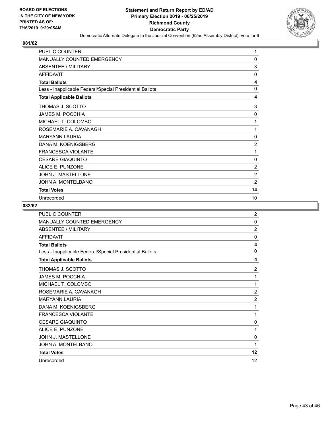

| PUBLIC COUNTER                                           | 1              |
|----------------------------------------------------------|----------------|
| MANUALLY COUNTED EMERGENCY                               | 0              |
| <b>ABSENTEE / MILITARY</b>                               | 3              |
| <b>AFFIDAVIT</b>                                         | $\mathbf{0}$   |
| <b>Total Ballots</b>                                     | 4              |
| Less - Inapplicable Federal/Special Presidential Ballots | $\mathbf{0}$   |
| <b>Total Applicable Ballots</b>                          | 4              |
| THOMAS J. SCOTTO                                         | 3              |
| <b>JAMES M. POCCHIA</b>                                  | 0              |
| MICHAEL T. COLOMBO                                       | 1              |
| ROSEMARIE A. CAVANAGH                                    | 1              |
| <b>MARYANN LAURIA</b>                                    | 0              |
| DANA M. KOENIGSBERG                                      | $\overline{2}$ |
| <b>FRANCESCA VIOLANTE</b>                                | 1              |
| <b>CESARE GIAQUINTO</b>                                  | 0              |
| ALICE E. PUNZONE                                         | $\overline{2}$ |
| JOHN J. MASTELLONE                                       | $\overline{2}$ |
| JOHN A. MONTELBANO                                       | $\overline{2}$ |
| <b>Total Votes</b>                                       | 14             |
| Unrecorded                                               | 10             |

| <b>PUBLIC COUNTER</b>                                    | $\overline{2}$ |
|----------------------------------------------------------|----------------|
| <b>MANUALLY COUNTED EMERGENCY</b>                        | 0              |
| ABSENTEE / MILITARY                                      | $\overline{2}$ |
| AFFIDAVIT                                                | $\mathbf{0}$   |
| <b>Total Ballots</b>                                     | 4              |
| Less - Inapplicable Federal/Special Presidential Ballots | 0              |
| <b>Total Applicable Ballots</b>                          | 4              |
| THOMAS J. SCOTTO                                         | 2              |
| <b>JAMES M. POCCHIA</b>                                  | 1              |
| MICHAEL T. COLOMBO                                       | 1              |
| ROSEMARIE A. CAVANAGH                                    | $\overline{2}$ |
| <b>MARYANN LAURIA</b>                                    | $\overline{2}$ |
| DANA M. KOENIGSBERG                                      | 1              |
| <b>FRANCESCA VIOLANTE</b>                                | 1              |
| <b>CESARE GIAQUINTO</b>                                  | 0              |
| ALICE E. PUNZONE                                         | 1              |
| <b>JOHN J. MASTELLONE</b>                                | 0              |
| JOHN A. MONTELBANO                                       | 1              |
| <b>Total Votes</b>                                       | 12             |
| Unrecorded                                               | 12             |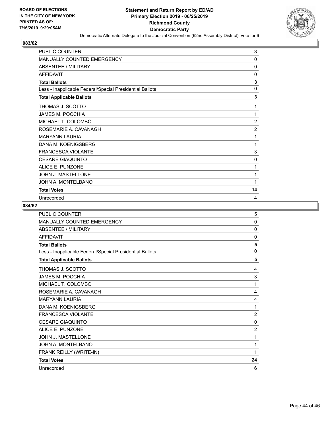

| <b>PUBLIC COUNTER</b>                                    | 3              |
|----------------------------------------------------------|----------------|
| <b>MANUALLY COUNTED EMERGENCY</b>                        | 0              |
| <b>ABSENTEE / MILITARY</b>                               | $\mathbf{0}$   |
| <b>AFFIDAVIT</b>                                         | 0              |
| <b>Total Ballots</b>                                     | 3              |
| Less - Inapplicable Federal/Special Presidential Ballots | $\mathbf{0}$   |
| <b>Total Applicable Ballots</b>                          | 3              |
| THOMAS J. SCOTTO                                         | 1              |
| JAMES M. POCCHIA                                         | 1              |
| MICHAEL T. COLOMBO                                       | $\overline{2}$ |
| ROSEMARIE A. CAVANAGH                                    | $\overline{c}$ |
| <b>MARYANN LAURIA</b>                                    | 1              |
| DANA M. KOENIGSBERG                                      | 1              |
| <b>FRANCESCA VIOLANTE</b>                                | 3              |
| <b>CESARE GIAQUINTO</b>                                  | 0              |
| <b>ALICE E. PUNZONE</b>                                  | 1              |
| JOHN J. MASTELLONE                                       | 1              |
| JOHN A. MONTELBANO                                       | 1              |
| <b>Total Votes</b>                                       | 14             |
| Unrecorded                                               | 4              |

| <b>PUBLIC COUNTER</b>                                    | 5              |
|----------------------------------------------------------|----------------|
| MANUALLY COUNTED EMERGENCY                               | $\mathbf{0}$   |
| <b>ABSENTEE / MILITARY</b>                               | $\mathbf{0}$   |
| <b>AFFIDAVIT</b>                                         | $\mathbf{0}$   |
| <b>Total Ballots</b>                                     | 5              |
| Less - Inapplicable Federal/Special Presidential Ballots | $\mathbf{0}$   |
| <b>Total Applicable Ballots</b>                          | 5              |
| THOMAS J. SCOTTO                                         | 4              |
| <b>JAMES M. POCCHIA</b>                                  | 3              |
| MICHAEL T. COLOMBO                                       | 1              |
| ROSEMARIE A. CAVANAGH                                    | 4              |
| <b>MARYANN LAURIA</b>                                    | 4              |
| DANA M. KOENIGSBERG                                      | 1              |
| <b>FRANCESCA VIOLANTE</b>                                | $\overline{2}$ |
| <b>CESARE GIAQUINTO</b>                                  | $\mathbf{0}$   |
| ALICE E. PUNZONE                                         | $\overline{2}$ |
| JOHN J. MASTELLONE                                       | 1              |
| JOHN A. MONTELBANO                                       | 1              |
| FRANK REILLY (WRITE-IN)                                  | 1              |
| <b>Total Votes</b>                                       | 24             |
| Unrecorded                                               | 6              |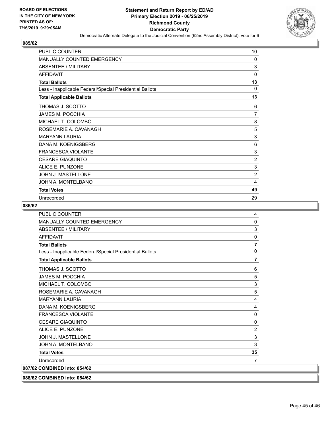

| PUBLIC COUNTER                                           | 10             |
|----------------------------------------------------------|----------------|
| <b>MANUALLY COUNTED EMERGENCY</b>                        | 0              |
| ABSENTEE / MILITARY                                      | 3              |
| <b>AFFIDAVIT</b>                                         | $\mathbf{0}$   |
| <b>Total Ballots</b>                                     | 13             |
| Less - Inapplicable Federal/Special Presidential Ballots | 0              |
| <b>Total Applicable Ballots</b>                          | 13             |
| THOMAS J. SCOTTO                                         | 6              |
| <b>JAMES M. POCCHIA</b>                                  | 7              |
| MICHAEL T. COLOMBO                                       | 8              |
| ROSEMARIE A. CAVANAGH                                    | 5              |
| <b>MARYANN LAURIA</b>                                    | 3              |
| DANA M. KOENIGSBERG                                      | 6              |
| <b>FRANCESCA VIOLANTE</b>                                | 3              |
| <b>CESARE GIAQUINTO</b>                                  | $\overline{2}$ |
| ALICE E. PUNZONE                                         | 3              |
| JOHN J. MASTELLONE                                       | $\overline{2}$ |
| JOHN A. MONTELBANO                                       | 4              |
| <b>Total Votes</b>                                       | 49             |
| Unrecorded                                               | 29             |

| <b>PUBLIC COUNTER</b>                                    | 4              |
|----------------------------------------------------------|----------------|
| MANUALLY COUNTED EMERGENCY                               | 0              |
| <b>ABSENTEE / MILITARY</b>                               | 3              |
| <b>AFFIDAVIT</b>                                         | 0              |
| <b>Total Ballots</b>                                     | 7              |
| Less - Inapplicable Federal/Special Presidential Ballots | 0              |
| <b>Total Applicable Ballots</b>                          | 7              |
| THOMAS J. SCOTTO                                         | 6              |
| <b>JAMES M. POCCHIA</b>                                  | 5              |
| MICHAEL T. COLOMBO                                       | 3              |
| ROSEMARIE A. CAVANAGH                                    | 5              |
| <b>MARYANN LAURIA</b>                                    | 4              |
| DANA M. KOENIGSBERG                                      | 4              |
| <b>FRANCESCA VIOLANTE</b>                                | 0              |
| <b>CESARE GIAQUINTO</b>                                  | 0              |
| ALICE E. PUNZONE                                         | $\overline{c}$ |
| <b>JOHN J. MASTELLONE</b>                                | 3              |
| JOHN A. MONTELBANO                                       | 3              |
| <b>Total Votes</b>                                       | 35             |
| Unrecorded                                               | 7              |
| 087/62 COMBINED into: 054/62                             |                |
| 088/62 COMBINED into: 054/62                             |                |